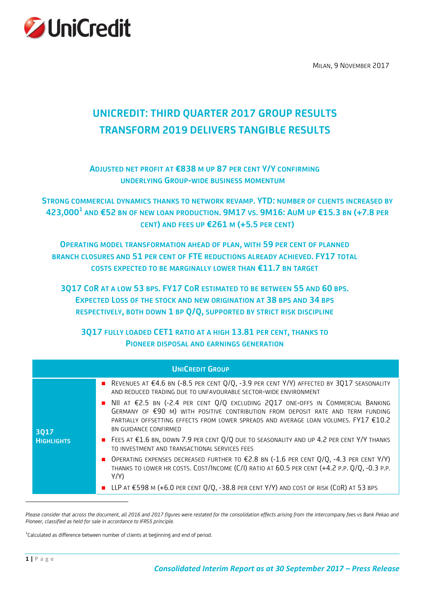

MILAN, 9 NOVEMBER 2017

# **UNICREDIT: THIRD QUARTER 2017 GROUP RESULTS TRANSFORM 2019 DELIVERS TANGIBLE RESULTS**

# **ADJUSTED NET PROFIT AT €838 M UP 87 PER CENT Y/Y CONFIRMING UNDERLYING GROUP-WIDE BUSINESS MOMENTUM**

**STRONG COMMERCIAL DYNAMICS THANKS TO NETWORK REVAMP. YTD: NUMBER OF CLIENTS INCREASED BY**  423,000 $^1$  and €52 bn of new loan production. 9M17 vs. 9M16: AuM up €15.3 bn (+7.8 per **CENT) AND FEES UP €261 M (+5.5 PER CENT)**

**OPERATING MODEL TRANSFORMATION AHEAD OF PLAN, WITH 59 PER CENT OF PLANNED BRANCH CLOSURES AND 51 PER CENT OF FTE REDUCTIONS ALREADY ACHIEVED. FY17 TOTAL COSTS EXPECTED TO BE MARGINALLY LOWER THAN €11.7 BN TARGET**

**3Q17 COR AT A LOW 53 BPS. FY17 COR ESTIMATED TO BE BETWEEN 55 AND 60 BPS. EXPECTED LOSS OF THE STOCK AND NEW ORIGINATION AT 38 BPS AND 34 BPS RESPECTIVELY, BOTH DOWN 1 BP Q/Q, SUPPORTED BY STRICT RISK DISCIPLINE**

**3Q17 FULLY LOADED CET1 RATIO AT A HIGH 13.81 PER CENT, THANKS TO PIONEER DISPOSAL AND EARNINGS GENERATION**

|                   | <b>UNICREDIT GROUP</b>                                                                                                                                                                                                                                                                                                                                                                                                                                        |
|-------------------|---------------------------------------------------------------------------------------------------------------------------------------------------------------------------------------------------------------------------------------------------------------------------------------------------------------------------------------------------------------------------------------------------------------------------------------------------------------|
| 3017              | REVENUES AT $\epsilon$ 4.6 BN (-8.5 PER CENT Q/Q, -3.9 PER CENT Y/Y) AFFECTED BY 3Q17 SEASONALITY<br>AND REDUCED TRADING DUE TO UNFAVOURABLE SECTOR-WIDE ENVIRONMENT<br>■ NII AT €2.5 BN (-2.4 PER CENT Q/Q EXCLUDING 2Q17 ONE-OFFS IN COMMERCIAL BANKING<br>GERMANY OF €90 M) WITH POSITIVE CONTRIBUTION FROM DEPOSIT RATE AND TERM FUNDING<br>PARTIALLY OFFSETTING EFFECTS FROM LOWER SPREADS AND AVERAGE LOAN VOLUMES. FY17 €10.2<br>BN GUIDANCE CONFIRMED |
| <b>HIGHLIGHTS</b> | ■ FEES AT €1.6 BN, DOWN 7.9 PER CENT Q/Q DUE TO SEASONALITY AND UP 4.2 PER CENT Y/Y THANKS<br>TO INVESTMENT AND TRANSACTIONAL SERVICES FEES                                                                                                                                                                                                                                                                                                                   |
|                   | <b>DERATING EXPENSES DECREASED FURTHER TO £2.8 BN (-1.6 PER CENT Q/Q, -4.3 PER CENT Y/Y)</b><br>THANKS TO LOWER HR COSTS. COST/INCOME (C/I) RATIO AT 60.5 PER CENT (+4.2 P.P. Q/Q, -0.3 P.P.<br>Y/Y                                                                                                                                                                                                                                                           |
|                   | ■ LLP AT €598 M (+6.0 PER CENT Q/Q, -38.8 PER CENT Y/Y) AND COST OF RISK (COR) AT 53 BPS                                                                                                                                                                                                                                                                                                                                                                      |

*Please consider that across the document, all 2016 and 2017 figures were restated for the consolidation effects arising from the intercompany fees vs Bank Pekao and Pioneer, classified as held for sale in accordance to IFRS5 principle.*

 $^{\rm 1}$ Calculated as difference between number of clients at beginning and end of period.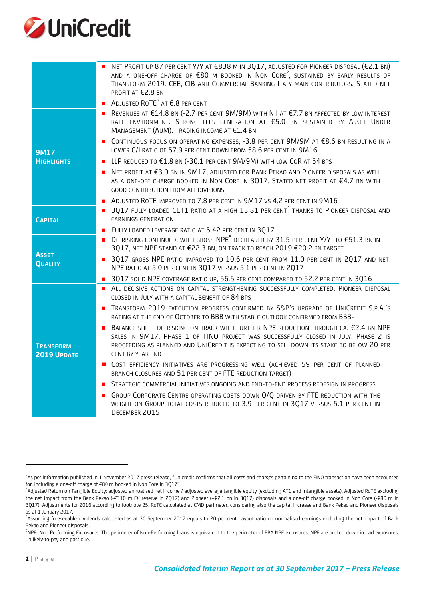

|                                 | NET PROFIT UP 87 PER CENT Y/Y AT €838 M IN 3Q17, ADJUSTED FOR PIONEER DISPOSAL (€2.1 BN)<br>AND A ONE-OFF CHARGE OF $\epsilon$ 80 M BOOKED IN NON CORE <sup>2</sup> , SUSTAINED BY EARLY RESULTS OF                                                                                                   |
|---------------------------------|-------------------------------------------------------------------------------------------------------------------------------------------------------------------------------------------------------------------------------------------------------------------------------------------------------|
|                                 | TRANSFORM 2019. CEE, CIB AND COMMERCIAL BANKING ITALY MAIN CONTRIBUTORS. STATED NET<br>PROFIT AT €2.8 BN                                                                                                                                                                                              |
|                                 | ADJUSTED ROTE <sup>3</sup> AT 6.8 PER CENT                                                                                                                                                                                                                                                            |
|                                 | ■ REVENUES AT €14.8 BN (-2.7 PER CENT 9M/9M) WITH NII AT €7.7 BN AFFECTED BY LOW INTEREST<br>RATE ENVIRONMENT. STRONG FEES GENERATION AT €5.0 BN SUSTAINED BY ASSET UNDER<br>MANAGEMENT (AUM). TRADING INCOME AT €1.4 BN                                                                              |
| <b>9M17</b>                     | ■ CONTINUOUS FOCUS ON OPERATING EXPENSES, -3.8 PER CENT 9M/9M AT €8.6 BN RESULTING IN A<br>LOWER C/I RATIO OF 57.9 PER CENT DOWN FROM 58.6 PER CENT IN 9M16                                                                                                                                           |
| <b>HIGHLIGHTS</b>               | LLP REDUCED TO €1.8 BN (-30.1 PER CENT 9M/9M) WITH LOW COR AT 54 BPS<br>п                                                                                                                                                                                                                             |
|                                 | NET PROFIT AT €3.0 BN IN 9M17, ADJUSTED FOR BANK PEKAO AND PIONEER DISPOSALS AS WELL<br>п<br>AS A ONE-OFF CHARGE BOOKED IN NON CORE IN 3Q17. STATED NET PROFIT AT €4.7 BN WITH<br>GOOD CONTRIBUTION FROM ALL DIVISIONS                                                                                |
|                                 | ADJUSTED ROTE IMPROVED TO 7.8 PER CENT IN 9M17 VS 4.2 PER CENT IN 9M16<br>п                                                                                                                                                                                                                           |
| <b>CAPITAL</b>                  | 3017 FULLY LOADED CET1 RATIO AT A HIGH 13.81 PER CENT <sup>4</sup> THANKS TO PIONEER DISPOSAL AND<br><b>EARNINGS GENERATION</b>                                                                                                                                                                       |
|                                 | FULLY LOADED LEVERAGE RATIO AT 5.42 PER CENT IN 3Q17<br>$\blacksquare$                                                                                                                                                                                                                                |
|                                 | DE-RISKING CONTINUED, WITH GROSS NPE <sup>5</sup> DECREASED BY 31.5 PER CENT Y/Y TO €51.3 BN IN<br>3Q17, NET NPE STAND AT €22.3 BN, ON TRACK TO REACH 2019 €20.2 BN TARGET                                                                                                                            |
| <b>ASSET</b><br><b>QUALITY</b>  | 3Q17 GROSS NPE RATIO IMPROVED TO 10.6 PER CENT FROM 11.0 PER CENT IN 2Q17 AND NET<br>п<br>NPE RATIO AT 5.0 PER CENT IN 3Q17 VERSUS 5.1 PER CENT IN 2Q17                                                                                                                                               |
|                                 | 3Q17 SOLID NPE COVERAGE RATIO UP, 56.5 PER CENT COMPARED TO 52.2 PER CENT IN 3Q16<br>п                                                                                                                                                                                                                |
|                                 | ALL DECISIVE ACTIONS ON CAPITAL STRENGTHENING SUCCESSFULLY COMPLETED. PIONEER DISPOSAL<br>CLOSED IN JULY WITH A CAPITAL BENEFIT OF 84 BPS                                                                                                                                                             |
|                                 | TRANSFORM 2019 EXECUTION PROGRESS CONFIRMED BY S&P'S UPGRADE OF UNICREDIT S.P.A.'S<br>п<br>RATING AT THE END OF OCTOBER TO BBB WITH STABLE OUTLOOK CONFIRMED FROM BBB-                                                                                                                                |
| <b>TRANSFORM</b><br>2019 UPDATE | BALANCE SHEET DE-RISKING ON TRACK WITH FURTHER NPE REDUCTION THROUGH CA. €2.4 BN NPE<br>п<br>SALES IN 9M17. PHASE 1 OF FINO PROJECT WAS SUCCESSFULLY CLOSED IN JULY, PHASE 2 IS<br>PROCEEDING AS PLANNED AND UNICREDIT IS EXPECTING TO SELL DOWN ITS STAKE TO BELOW 20 PER<br><b>CENT BY YEAR END</b> |
|                                 | COST EFFICIENCY INITIATIVES ARE PROGRESSING WELL (ACHIEVED 59 PER CENT OF PLANNED<br>BRANCH CLOSURES AND 51 PER CENT OF FTE REDUCTION TARGET)                                                                                                                                                         |
|                                 | STRATEGIC COMMERCIAL INITIATIVES ONGOING AND END-TO-END PROCESS REDESIGN IN PROGRESS                                                                                                                                                                                                                  |
|                                 | GROUP CORPORATE CENTRE OPERATING COSTS DOWN Q/Q DRIVEN BY FTE REDUCTION WITH THE<br>П<br>WEIGHT ON GROUP TOTAL COSTS REDUCED TO 3.9 PER CENT IN 3Q17 VERSUS 5.1 PER CENT IN<br>DECEMBER 2015                                                                                                          |
|                                 |                                                                                                                                                                                                                                                                                                       |

<sup>&</sup>lt;sup>2</sup>As per information published in 1 November 2017 press release, "Unicredit confirms that all costs and charges pertaining to the FINO transaction have been accounted for, including a one-off charge of €80 m booked in Non Core in 3Q17".

<sup>3</sup> Adjusted Return on Tangible Equity: adjusted annualised net income / adjusted average tangible equity (excluding AT1 and intangible assets). Adjusted RoTE excluding the net impact from the Bank Pekao (-€310 m FX reserve in 2Q17) and Pioneer (+€2.1 bn in 3Q17) disposals and a one-off charge booked in Non Core (-€80 m in 3Q17). Adjustments for 2016 according to footnote 25. RoTE calculated at CMD perimeter, considering also the capital increase and Bank Pekao and Pioneer disposals as at 1 January 2017.

<sup>4</sup> Assuming foreseeable dividends calculated as at 30 September 2017 equals to 20 per cent payout ratio on normalised earnings excluding the net impact of Bank Pekao and Pioneer disposals.

<sup>&</sup>lt;sup>5</sup>NPE: Non Performing Exposures. The perimeter of Non-Performing loans is equivalent to the perimeter of EBA NPE exposures. NPE are broken down in bad exposures, unlikely-to-pay and past due.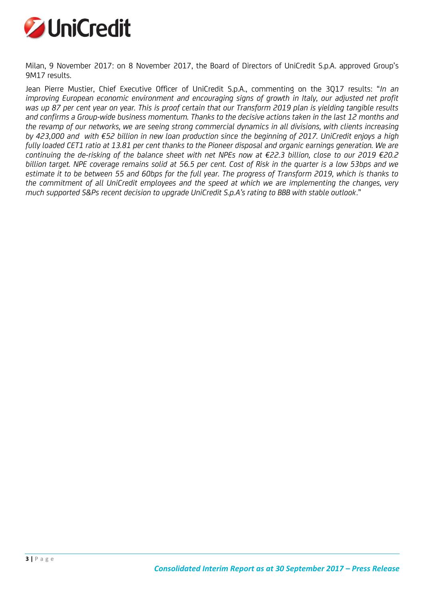

Milan, 9 November 2017: on 8 November 2017, the Board of Directors of UniCredit S.p.A. approved Group's 9M17 results.

Jean Pierre Mustier, Chief Executive Officer of UniCredit S.p.A., commenting on the 3Q17 results: "*In an improving European economic environment and encouraging signs of growth in Italy, our adjusted net profit was up 87 per cent year on year. This is proof certain that our Transform 2019 plan is yielding tangible results and confirms a Group-wide business momentum. Thanks to the decisive actions taken in the last 12 months and the revamp of our networks, we are seeing strong commercial dynamics in all divisions, with clients increasing by 423,000 and with €52 billion in new loan production since the beginning of 2017. UniCredit enjoys a high fully loaded CET1 ratio at 13.81 per cent thanks to the Pioneer disposal and organic earnings generation. We are continuing the de-risking of the balance sheet with net NPEs now at €22.3 billion, close to our 2019 €20.2 billion target. NPE coverage remains solid at 56.5 per cent. Cost of Risk in the quarter is a low 53bps and we estimate it to be between 55 and 60bps for the full year. The progress of Transform 2019, which is thanks to the commitment of all UniCredit employees and the speed at which we are implementing the changes, very much supported S&Ps recent decision to upgrade UniCredit S.p.A's rating to BBB with stable outlook*."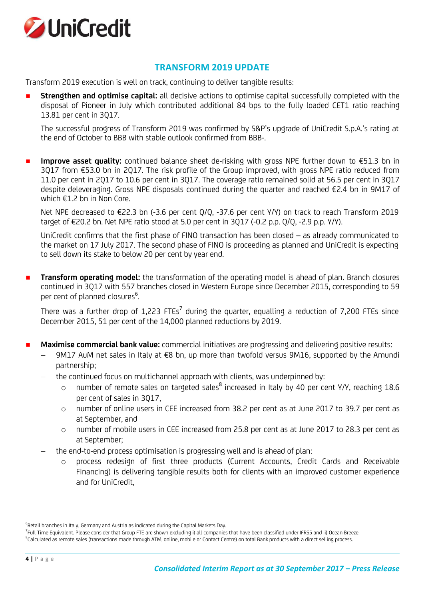

### **TRANSFORM 2019 UPDATE**

Transform 2019 execution is well on track, continuing to deliver tangible results:

 **Strengthen and optimise capital:** all decisive actions to optimise capital successfully completed with the disposal of Pioneer in July which contributed additional 84 bps to the fully loaded CET1 ratio reaching 13.81 per cent in 3Q17.

The successful progress of Transform 2019 was confirmed by S&P's upgrade of UniCredit S.p.A.'s rating at the end of October to BBB with stable outlook confirmed from BBB-.

 **Improve asset quality:** continued balance sheet de-risking with gross NPE further down to €51.3 bn in 3Q17 from €53.0 bn in 2Q17. The risk profile of the Group improved, with gross NPE ratio reduced from 11.0 per cent in 2Q17 to 10.6 per cent in 3Q17. The coverage ratio remained solid at 56.5 per cent in 3Q17 despite deleveraging. Gross NPE disposals continued during the quarter and reached €2.4 bn in 9M17 of which €1.2 bn in Non Core.

Net NPE decreased to €22.3 bn (-3.6 per cent Q/Q, -37.6 per cent Y/Y) on track to reach Transform 2019 target of €20.2 bn. Net NPE ratio stood at 5.0 per cent in 3Q17 (-0.2 p.p. Q/Q, -2.9 p.p. Y/Y).

UniCredit confirms that the first phase of FINO transaction has been closed – as already communicated to the market on 17 July 2017. The second phase of FINO is proceeding as planned and UniCredit is expecting to sell down its stake to below 20 per cent by year end.

 **Transform operating model:** the transformation of the operating model is ahead of plan. Branch closures continued in 3Q17 with 557 branches closed in Western Europe since December 2015, corresponding to 59 per cent of planned closures<sup>6</sup>. .

There was a further drop of 1,223 FTEs<sup>7</sup> during the quarter, equalling a reduction of 7,200 FTEs since December 2015, 51 per cent of the 14,000 planned reductions by 2019.

- **Maximise commercial bank value:** commercial initiatives are progressing and delivering positive results:
	- 9M17 AuM net sales in Italy at €8 bn, up more than twofold versus 9M16, supported by the Amundi partnership;
	- the continued focus on multichannel approach with clients, was underpinned by:
		- $\circ$  number of remote sales on targeted sales $^8$  increased in Italy by 40 per cent Y/Y, reaching 18.6 per cent of sales in 3Q17,
		- o number of online users in CEE increased from 38.2 per cent as at June 2017 to 39.7 per cent as at September, and
		- o number of mobile users in CEE increased from 25.8 per cent as at June 2017 to 28.3 per cent as at September;
	- the end-to-end process optimisation is progressing well and is ahead of plan:
		- o process redesign of first three products (Current Accounts, Credit Cards and Receivable Financing) is delivering tangible results both for clients with an improved customer experience and for UniCredit,

 $^6$ Retail branches in Italy, Germany and Austria as indicated during the Capital Markets Day.

<sup>&</sup>lt;sup>7</sup>Full Time Equivalent. Please consider that Group FTE are shown excluding i) all companies that have been classified under IFRS5 and ii) Ocean Breeze.

 $^8$ Calculated as remote sales (transactions made through ATM, online, mobile or Contact Centre) on total Bank products with a direct selling process.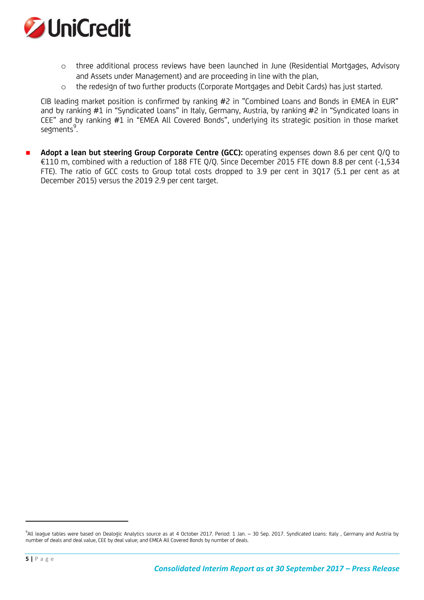

- o three additional process reviews have been launched in June (Residential Mortgages, Advisory and Assets under Management) and are proceeding in line with the plan,
- o the redesign of two further products (Corporate Mortgages and Debit Cards) has just started.

CIB leading market position is confirmed by ranking #2 in "Combined Loans and Bonds in EMEA in EUR" and by ranking #1 in "Syndicated Loans" in Italy, Germany, Austria, by ranking #2 in "Syndicated loans in CEE" and by ranking #1 in "EMEA All Covered Bonds", underlying its strategic position in those market  $se$ gments<sup>9</sup>. .

 **Adopt a lean but steering Group Corporate Centre (GCC):** operating expenses down 8.6 per cent Q/Q to €110 m, combined with a reduction of 188 FTE Q/Q. Since December 2015 FTE down 8.8 per cent (-1,534 FTE). The ratio of GCC costs to Group total costs dropped to 3.9 per cent in 3Q17 (5.1 per cent as at December 2015) versus the 2019 2.9 per cent target.

<sup>9</sup> All league tables were based on Dealogic Analytics source as at 4 October 2017. Period: 1 Jan. – 30 Sep. 2017. Syndicated Loans: Italy , Germany and Austria by number of deals and deal value, CEE by deal value; and EMEA All Covered Bonds by number of deals.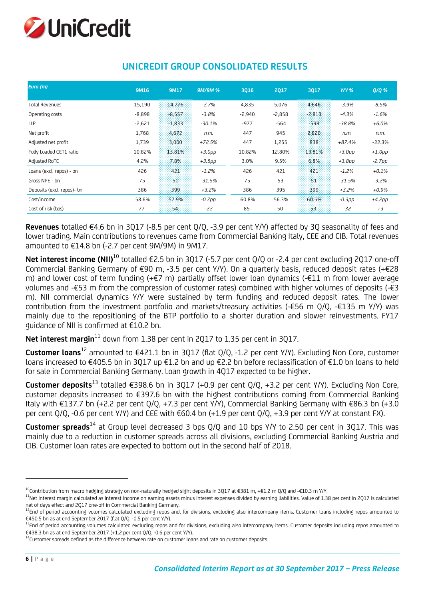

| Euro (m)                   | 9M16     | 9M17     | <b>9M/9M%</b> | 3016     | 2017     | 3017     | $Y/Y$ %  | $Q/Q$ %   |
|----------------------------|----------|----------|---------------|----------|----------|----------|----------|-----------|
|                            |          |          |               |          |          |          |          |           |
| <b>Total Revenues</b>      | 15,190   | 14,776   | $-2.7%$       | 4,835    | 5,076    | 4.646    | $-3.9%$  | $-8.5%$   |
| Operating costs            | $-8,898$ | $-8.557$ | $-3.8%$       | $-2,940$ | $-2,858$ | $-2,813$ | $-4.3%$  | $-1.6%$   |
| <b>LLP</b>                 | $-2,621$ | $-1.833$ | $-30.1%$      | $-977$   | $-564$   | $-598$   | $-38.8%$ | $+6.0%$   |
| Net profit                 | 1,768    | 4,672    | n.m.          | 447      | 945      | 2,820    | n.m.     | n.m.      |
| Adjusted net profit        | 1,739    | 3.000    | +72.5%        | 447      | 1,255    | 838      | $+87.4%$ | $-33.3%$  |
| Fully Loaded CET1 ratio    | 10.82%   | 13.81%   | $+3.0pp$      | 10.82%   | 12.80%   | 13.81%   | $+3.0pp$ | $+1.0$ pp |
| Adjusted RoTE              | 4.2%     | 7.8%     | $+3.5pp$      | 3.0%     | 9.5%     | 6.8%     | $+3.8pp$ | $-2.7pp$  |
| Loans (excl. repos) - bn   | 426      | :421     | $-1.2%$       | 426      | 421      | 421      | $-1.2%$  | $+0.1%$   |
| Gross NPE - bn             | 75       | 劣的       | $-31.5%$      | 75       | 53       | 51       | $-31.5%$ | $-3.2%$   |
| Deposits (excl. repos)- bn | 386      | 399      | $+3.2%$       | 386      | 395      | 399      | $+3.2%$  | $+0.9%$   |
| Cost/income                | 58.6%    | 57.9%    | $-0.7$ pp     | 60.8%    | 56.3%    | 60.5%    | $-0.3pp$ | $+4.2pp$  |
| Cost of risk (bps)         | 77       | 54       | -22           | 85       | 50       | 53.      | $-32$    | $+3$      |

# **UNICREDIT GROUP CONSOLIDATED RESULTS**

**Revenues** totalled €4.6 bn in 3Q17 (-8.5 per cent Q/Q, -3.9 per cent Y/Y) affected by 3Q seasonality of fees and lower trading. Main contributions to revenues came from Commercial Banking Italy, CEE and CIB. Total revenues amounted to €14.8 bn (-2.7 per cent 9M/9M) in 9M17.

**Net interest income (NII)**<sup>10</sup> totalled €2.5 bn in 3Q17 (-5.7 per cent Q/Q or -2.4 per cent excluding 2Q17 one-off Commercial Banking Germany of €90 m, -3.5 per cent Y/Y). On a quarterly basis, reduced deposit rates (+€28 m) and lower cost of term funding (+€7 m) partially offset lower loan dynamics (-€11 m from lower average volumes and -€53 m from the compression of customer rates) combined with higher volumes of deposits (-€3 m). NII commercial dynamics Y/Y were sustained by term funding and reduced deposit rates. The lower contribution from the investment portfolio and markets/treasury activities (-€56 m Q/Q, -€135 m Y/Y) was mainly due to the repositioning of the BTP portfolio to a shorter duration and slower reinvestments. FY17 guidance of NII is confirmed at €10.2 bn.

**Net interest margin**<sup>11</sup> down from 1.38 per cent in 2017 to 1.35 per cent in 3017.

**Customer loans**<sup>12</sup> amounted to €421.1 bn in 3Q17 (flat Q/Q, -1.2 per cent Y/Y). Excluding Non Core, customer loans increased to €405.5 bn in 3Q17 up €1.2 bn and up €2.2 bn before reclassification of €1.0 bn loans to held for sale in Commercial Banking Germany. Loan growth in 4Q17 expected to be higher.

**Customer deposits**<sup>13</sup> totalled €398.6 bn in 3Q17 (+0.9 per cent Q/Q, +3.2 per cent Y/Y). Excluding Non Core, customer deposits increased to €397.6 bn with the highest contributions coming from Commercial Banking Italy with €137.7 bn (+2.2 per cent Q/Q, +7.3 per cent Y/Y), Commercial Banking Germany with €86.3 bn (+3.0 per cent Q/Q, -0.6 per cent Y/Y) and CEE with €60.4 bn (+1.9 per cent Q/Q, +3.9 per cent Y/Y at constant FX).

**Customer spreads**<sup>14</sup> at Group level decreased 3 bps Q/Q and 10 bps Y/Y to 2.50 per cent in 3Q17. This was mainly due to a reduction in customer spreads across all divisions, excluding Commercial Banking Austria and CIB. Customer loan rates are expected to bottom out in the second half of 2018.

<sup>&</sup>lt;sup>10</sup>Contribution from macro hedging strategy on non-naturally hedged sight deposits in 3Q17 at €381 m, +€1.2 m Q/Q and -€10.3 m Y/Y.

<sup>11</sup>Net interest margin calculated as interest income on earning assets minus interest expenses divided by earning liabilities. Value of 1.38 per cent in 2Q17 is calculated net of days effect and 2Q17 one-off in Commercial Banking Germany.

<sup>&</sup>lt;sup>12</sup>End of period accounting volumes calculated excluding repos and, for divisions, excluding also intercompany items. Customer loans including repos amounted to €450.5 bn as at end September 2017 (flat Q/Q, -0.5 per cent Y/Y).

<sup>&</sup>lt;sup>13</sup>End of period accounting volumes calculated excluding repos and for divisions, excluding also intercompany items. Customer deposits including repos amounted to €438.3 bn as at end September 2017 (+1.2 per cent Q/Q, -0.6 per cent Y/Y).

<sup>&</sup>lt;sup>14</sup>Customer spreads defined as the difference between rate on customer loans and rate on customer deposits.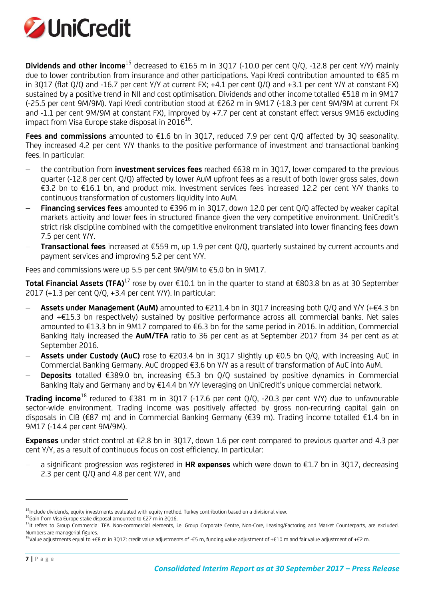

**Dividends and other income**<sup>15</sup> decreased to €165 m in 3Q17 (-10.0 per cent Q/Q, -12.8 per cent Y/Y) mainly due to lower contribution from insurance and other participations. Yapi Kredi contribution amounted to €85 m in 3Q17 (flat Q/Q and -16.7 per cent Y/Y at current FX; +4.1 per cent Q/Q and +3.1 per cent Y/Y at constant FX) sustained by a positive trend in NII and cost optimisation. Dividends and other income totalled €518 m in 9M17 (-25.5 per cent 9M/9M). Yapi Kredi contribution stood at €262 m in 9M17 (-18.3 per cent 9M/9M at current FX and -1.1 per cent 9M/9M at constant FX), improved by +7.7 per cent at constant effect versus 9M16 excluding impact from Visa Europe stake disposal in 2016 $^{16}$ . .

**Fees and commissions** amounted to €1.6 bn in 3Q17, reduced 7.9 per cent Q/Q affected by 3Q seasonality. They increased 4.2 per cent Y/Y thanks to the positive performance of investment and transactional banking fees. In particular:

- the contribution from **investment services fees** reached €638 m in 3Q17, lower compared to the previous quarter (-12.8 per cent Q/Q) affected by lower AuM upfront fees as a result of both lower gross sales, down €3.2 bn to €16.1 bn, and product mix. Investment services fees increased 12.2 per cent Y/Y thanks to continuous transformation of customers liquidity into AuM.
- **Financing services fees** amounted to €396 m in 3Q17, down 12.0 per cent Q/Q affected by weaker capital markets activity and lower fees in structured finance given the very competitive environment. UniCredit's strict risk discipline combined with the competitive environment translated into lower financing fees down 7.5 per cent Y/Y.
- **Transactional fees** increased at €559 m, up 1.9 per cent Q/Q, quarterly sustained by current accounts and payment services and improving 5.2 per cent Y/Y.

Fees and commissions were up 5.5 per cent 9M/9M to €5.0 bn in 9M17.

**Total Financial Assets (TFA)**<sup>17</sup> rose by over €10.1 bn in the quarter to stand at €803.8 bn as at 30 September 2017 (+1.3 per cent Q/Q, +3.4 per cent Y/Y). In particular:

- **Assets under Management (AuM)** amounted to €211.4 bn in 3Q17 increasing both Q/Q and Y/Y (+€4.3 bn and +€15.3 bn respectively) sustained by positive performance across all commercial banks. Net sales amounted to €13.3 bn in 9M17 compared to €6.3 bn for the same period in 2016. In addition, Commercial Banking Italy increased the **AuM/TFA** ratio to 36 per cent as at September 2017 from 34 per cent as at September 2016.
- **Assets under Custody (AuC)** rose to €203.4 bn in 3Q17 slightly up €0.5 bn Q/Q, with increasing AuC in Commercial Banking Germany. AuC dropped €3.6 bn Y/Y as a result of transformation of AuC into AuM.
- **Deposits** totalled €389.0 bn, increasing €5.3 bn Q/Q sustained by positive dynamics in Commercial Banking Italy and Germany and by €14.4 bn Y/Y leveraging on UniCredit's unique commercial network.

**Trading income**<sup>18</sup> reduced to €381 m in 3Q17 (-17.6 per cent Q/Q, -20.3 per cent Y/Y) due to unfavourable sector-wide environment. Trading income was positively affected by gross non-recurring capital gain on disposals in CIB (€87 m) and in Commercial Banking Germany (€39 m). Trading income totalled €1.4 bn in 9M17 (-14.4 per cent 9M/9M).

**Expenses** under strict control at €2.8 bn in 3Q17, down 1.6 per cent compared to previous quarter and 4.3 per cent Y/Y, as a result of continuous focus on cost efficiency. In particular:

 a significant progression was registered in **HR expenses** which were down to €1.7 bn in 3Q17, decreasing 2.3 per cent Q/Q and 4.8 per cent Y/Y, and

<sup>&</sup>lt;sup>15</sup>Include dividends, equity investments evaluated with equity method. Turkey contribution based on a divisional view.

<sup>&</sup>lt;sup>16</sup>Gain from Visa Europe stake disposal amounted to €27 m in 2Q16.

<sup>&</sup>lt;sup>17</sup>It refers to Group Commercial TFA. Non-commercial elements, i.e. Group Corporate Centre, Non-Core, Leasing/Factoring and Market Counterparts, are excluded. Numbers are managerial figures.

<sup>&</sup>lt;sup>18</sup>Value adjustments equal to +€8 m in 3Q17: credit value adjustments of -€5 m, funding value adjustment of +€10 m and fair value adjustment of +€2 m.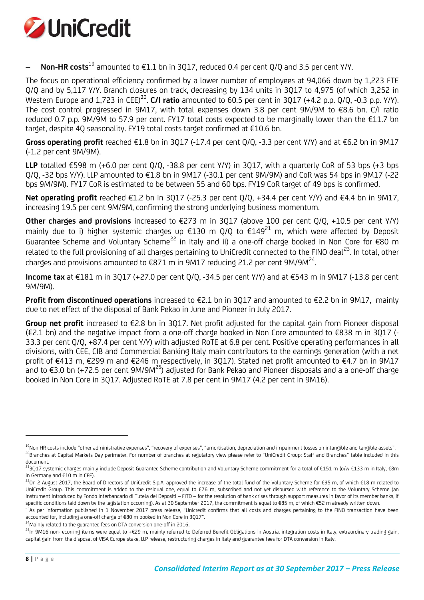

**Non-HR costs**<sup>19</sup> amounted to €1.1 bn in 3Q17, reduced 0.4 per cent Q/Q and 3.5 per cent Y/Y.

The focus on operational efficiency confirmed by a lower number of employees at 94,066 down by 1,223 FTE Q/Q and by 5,117 Y/Y. Branch closures on track, decreasing by 134 units in 3Q17 to 4,975 (of which 3,252 in Western Europe and 1,723 in CEE)<sup>20</sup>. **C/I ratio** amounted to 60.5 per cent in 3Q17 (+4.2 p.p. Q/Q, -0.3 p.p. Y/Y). The cost control progressed in 9M17, with total expenses down 3.8 per cent 9M/9M to €8.6 bn. C/I ratio reduced 0.7 p.p. 9M/9M to 57.9 per cent. FY17 total costs expected to be marginally lower than the €11.7 bn target, despite 4Q seasonality. FY19 total costs target confirmed at €10.6 bn.

**Gross operating profit** reached €1.8 bn in 3Q17 (-17.4 per cent Q/Q, -3.3 per cent Y/Y) and at €6.2 bn in 9M17 (-1.2 per cent 9M/9M).

**LLP** totalled €598 m (+6.0 per cent  $O/O$ , -38.8 per cent  $Y/Y$ ) in 3017, with a quarterly CoR of 53 bps (+3 bps Q/Q, -32 bps Y/Y). LLP amounted to €1.8 bn in 9M17 (-30.1 per cent 9M/9M) and CoR was 54 bps in 9M17 (-22 bps 9M/9M). FY17 CoR is estimated to be between 55 and 60 bps. FY19 CoR target of 49 bps is confirmed.

**Net operating profit** reached €1.2 bn in 3Q17 (-25.3 per cent Q/Q, +34.4 per cent Y/Y) and €4.4 bn in 9M17, increasing 19.5 per cent 9M/9M, confirming the strong underlying business momentum.

**Other charges and provisions** increased to €273 m in 3Q17 (above 100 per cent Q/Q, +10.5 per cent Y/Y) mainly due to i) higher systemic charges up  $\epsilon$ 130 m O/O to  $\epsilon$ 149<sup>21</sup> m, which were affected by Deposit Guarantee Scheme and Voluntary Scheme<sup>22</sup> in Italy and ii) a one-off charge booked in Non Core for €80 m related to the full provisioning of all charges pertaining to UniCredit connected to the FINO deal<sup>23</sup>. In total, other charges and provisions amounted to  $\text{\textsterling}871$  m in 9M17 reducing 21.2 per cent 9M/9M<sup>24</sup>. .

**Income tax** at €181 m in 3Q17 (+27.0 per cent Q/Q, -34.5 per cent Y/Y) and at €543 m in 9M17 (-13.8 per cent 9M/9M).

**Profit from discontinued operations** increased to €2.1 bn in 3Q17 and amounted to €2.2 bn in 9M17, mainly due to net effect of the disposal of Bank Pekao in June and Pioneer in July 2017.

**Group net profit** increased to €2.8 bn in 3Q17. Net profit adjusted for the capital gain from Pioneer disposal (€2.1 bn) and the negative impact from a one-off charge booked in Non Core amounted to €838 m in 3Q17 (- 33.3 per cent Q/Q, +87.4 per cent Y/Y) with adjusted RoTE at 6.8 per cent. Positive operating performances in all divisions, with CEE, CIB and Commercial Banking Italy main contributors to the earnings generation (with a net profit of €413 m, €299 m and €246 m respectively, in 3Q17). Stated net profit amounted to €4.7 bn in 9M17 and to €3.0 bn (+72.5 per cent 9M/9M<sup>25</sup>) adjusted for Bank Pekao and Pioneer disposals and a a one-off charge booked in Non Core in 3Q17. Adjusted RoTE at 7.8 per cent in 9M17 (4.2 per cent in 9M16).

 $24$ Mainly related to the guarantee fees on DTA conversion one-off in 2016.

<sup>&</sup>lt;sup>19</sup>Non HR costs include "other administrative expenses", "recovery of expenses", "amortisation, depreciation and impairment losses on intangible and tangible assets". <sup>20</sup>Branches at Capital Markets Day perimeter. For number of branches at regulatory view please refer to "UniCredit Group: Staff and Branches" table included in this document.

<sup>&</sup>lt;sup>21</sup>3Q17 systemic charqes mainly include Deposit Guarantee Scheme contribution and Voluntary Scheme commitment for a total of €151 m (o/w €133 m in Italy, €8m in Germany and €10 m in CEE).

 $^{22}$ On 2 August 2017, the Board of Directors of UniCredit S.p.A. approved the increase of the total fund of the Voluntary Scheme for €95 m, of which €18 m related to UniCredit Group. This commitment is added to the residual one, equal to €76 m, subscribed and not yet disbursed with reference to the Voluntary Scheme (an instrument introduced by Fondo Interbancario di Tutela dei Depositi – FITD – for the resolution of bank crises through support measures in favor of its member banks, if specific conditions laid down by the legislation occurring). As at 30 September 2017, the commitment is equal to €85 m, of which €52 m already written down.

<sup>&</sup>lt;sup>23</sup>As per information published in 1 November 2017 press release, "Unicredit confirms that all costs and charges pertaining to the FINO transaction have been accounted for, including a one-off charge of €80 m booked in Non Core in 3Q17".

<sup>&</sup>lt;sup>25</sup>In 9M16 non-recurring items were equal to +€29 m, mainly referred to Deferred Benefit Obligations in Austria, integration costs in Italy, extraordinary trading gain, capital gain from the disposal of VISA Europe stake, LLP release, restructuring charges in Italy and guarantee fees for DTA conversion in Italy.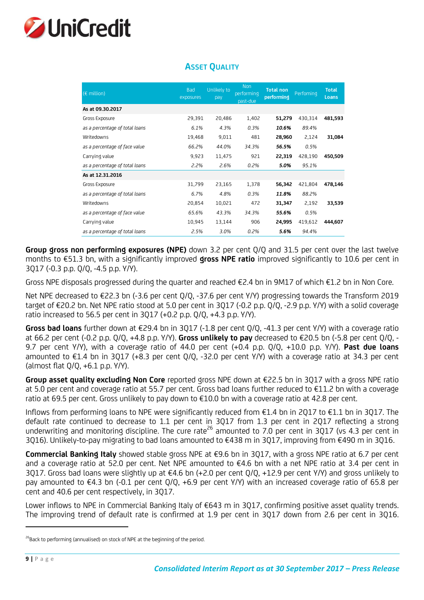

| $(E \text{ million})$          | <b>Bad</b><br>exposures | Unlikely to<br>pay | <b>Non</b><br>performing<br>past-due | <b>Total non</b><br>performing | Perfoming | <b>Total</b><br>Loans |
|--------------------------------|-------------------------|--------------------|--------------------------------------|--------------------------------|-----------|-----------------------|
| As at 09.30.2017               |                         |                    |                                      |                                |           |                       |
| Gross Exposure                 | 29,391                  | 20,486             | 1,402                                | 51,279                         | 430,314   | 481,593               |
| as a percentage of total loans | 6.1%                    | 4.3%               | 0.3%                                 | 10.6%                          | 89.4%     |                       |
| Writedowns                     | 19,468                  | 9,011              | 481                                  | 28,960                         | 2,124     | 31,084                |
| as a percentage of face value  | 66.2%                   | 44.0%              | 34.3%                                | 56.5%                          | 0.5%      |                       |
| Carrying value                 | 9,923                   | 11,475             | 921                                  | 22,319                         | 428,190   | 450,509               |
| as a percentage of total loans | 2.2%                    | 2.6%               | 0.2%                                 | 5.0%                           | 95.1%     |                       |
| As at 12.31.2016               |                         |                    |                                      |                                |           |                       |
| Gross Exposure                 | 31,799                  | 23,165             | 1,378                                | 56,342                         | 421,804   | 478,146               |
| as a percentage of total loans | 6.7%                    | 4.8%               | 0.3%                                 | 11.8%                          | 88.2%     |                       |
| Writedowns                     | 20,854                  | 10,021             | 472                                  | 31,347                         | 2,192     | 33,539                |
| as a percentage of face value  | 65.6%                   | 43.3%              | 34.3%                                | 55.6%                          | 0.5%      |                       |
| Carrying value                 | 10,945                  | 13,144             | 906                                  | 24,995                         | 419,612   | 444,607               |
| as a percentage of total loans | 2.5%                    | 3.0%               | 0.2%                                 | 5.6%                           | 94.4%     |                       |

### **ASSET QUALITY**

**Group gross non performing exposures (NPE)** down 3.2 per cent Q/Q and 31.5 per cent over the last twelve months to €51.3 bn, with a significantly improved **gross NPE ratio** improved significantly to 10.6 per cent in 3Q17 (-0.3 p.p. Q/Q, -4.5 p.p. Y/Y).

Gross NPE disposals progressed during the quarter and reached  $E2.4$  bn in 9M17 of which  $E1.2$  bn in Non Core.

Net NPE decreased to €22.3 bn (-3.6 per cent Q/Q, -37.6 per cent Y/Y) progressing towards the Transform 2019 target of €20.2 bn. Net NPE ratio stood at 5.0 per cent in 3Q17 (-0.2 p.p. Q/Q, -2.9 p.p. Y/Y) with a solid coverage ratio increased to 56.5 per cent in 3Q17 (+0.2 p.p. Q/Q, +4.3 p.p. Y/Y).

**Gross bad loans** further down at €29.4 bn in 3Q17 (-1.8 per cent Q/Q, -41.3 per cent Y/Y) with a coverage ratio at 66.2 per cent (-0.2 p.p. Q/Q, +4.8 p.p. Y/Y). **Gross unlikely to pay** decreased to €20.5 bn (-5.8 per cent Q/Q, - 9.7 per cent Y/Y), with a coverage ratio of 44.0 per cent (+0.4 p.p. Q/Q, +10.0 p.p. Y/Y). **Past due loans** amounted to €1.4 bn in 3Q17 (+8.3 per cent Q/Q, -32.0 per cent Y/Y) with a coverage ratio at 34.3 per cent (almost flat Q/Q, +6.1 p.p. Y/Y).

**Group asset quality excluding Non Core** reported gross NPE down at €22.5 bn in 3Q17 with a gross NPE ratio at 5.0 per cent and coverage ratio at 55.7 per cent. Gross bad loans further reduced to €11.2 bn with a coverage ratio at 69.5 per cent. Gross unlikely to pay down to €10.0 bn with a coverage ratio at 42.8 per cent.

Inflows from performing loans to NPE were significantly reduced from €1.4 bn in 2Q17 to €1.1 bn in 3Q17. The default rate continued to decrease to 1.1 per cent in 3Q17 from 1.3 per cent in 2Q17 reflecting a strong underwriting and monitoring discipline. The cure rate<sup>26</sup> amounted to 7.0 per cent in 3Q17 (vs 4.3 per cent in 3Q16). Unlikely-to-pay migrating to bad loans amounted to €438 m in 3Q17, improving from €490 m in 3Q16.

**Commercial Banking Italy** showed stable gross NPE at €9.6 bn in 3Q17, with a gross NPE ratio at 6.7 per cent and a coverage ratio at 52.0 per cent. Net NPE amounted to €4.6 bn with a net NPE ratio at 3.4 per cent in 3Q17. Gross bad loans were slightly up at €4.6 bn (+2.0 per cent Q/Q, +12.9 per cent Y/Y) and gross unlikely to pay amounted to €4.3 bn (-0.1 per cent Q/Q, +6.9 per cent Y/Y) with an increased coverage ratio of 65.8 per cent and 40.6 per cent respectively, in 3Q17.

Lower inflows to NPE in Commercial Banking Italy of €643 m in 3Q17, confirming positive asset quality trends. The improving trend of default rate is confirmed at 1.9 per cent in 3Q17 down from 2.6 per cent in 3Q16.

<sup>&</sup>lt;sup>26</sup>Back to performing (annualised) on stock of NPE at the beginning of the period.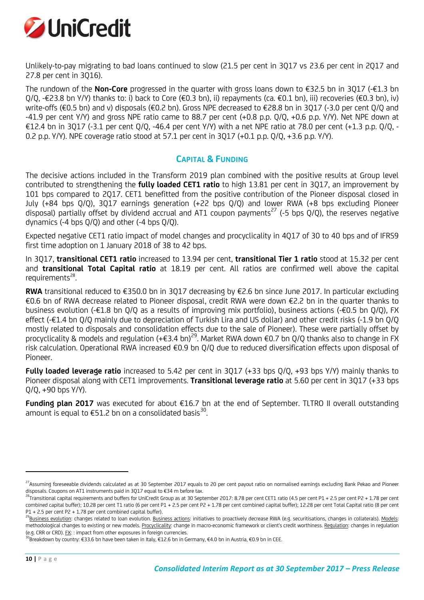

Unlikely-to-pay migrating to bad loans continued to slow (21.5 per cent in 3Q17 vs 23.6 per cent in 2Q17 and 27.8 per cent in 3Q16).

The rundown of the **Non-Core** progressed in the quarter with gross loans down to €32.5 bn in 3Q17 (-€1.3 bn Q/Q, -€23.8 bn Y/Y) thanks to: i) back to Core (€0.3 bn), ii) repayments (ca. €0.1 bn), iii) recoveries (€0.3 bn), iv) write-offs (€0.5 bn) and v) disposals (€0.2 bn). Gross NPE decreased to €28.8 bn in 3Q17 (-3.0 per cent Q/Q and -41.9 per cent Y/Y) and gross NPE ratio came to 88.7 per cent (+0.8 p.p. Q/Q, +0.6 p.p. Y/Y). Net NPE down at €12.4 bn in 3Q17 (-3.1 per cent Q/Q, -46.4 per cent Y/Y) with a net NPE ratio at 78.0 per cent (+1.3 p.p. Q/Q, -0.2 p.p. Y/Y). NPE coverage ratio stood at 57.1 per cent in 3Q17 (+0.1 p.p. Q/Q, +3.6 p.p. Y/Y).

### **CAPITAL & FUNDING**

The decisive actions included in the Transform 2019 plan combined with the positive results at Group level contributed to strengthening the **fully loaded CET1 ratio** to high 13.81 per cent in 3Q17, an improvement by 101 bps compared to 2Q17. CET1 benefitted from the positive contribution of the Pioneer disposal closed in July (+84 bps Q/Q), 3Q17 earnings generation (+22 bps Q/Q) and lower RWA (+8 bps excluding Pioneer disposal) partially offset by dividend accrual and AT1 coupon payments<sup>27</sup> (-5 bps Q/Q), the reserves negative dynamics (-4 bps Q/Q) and other (-4 bps Q/Q).

Expected negative CET1 ratio impact of model changes and procyclicality in 4Q17 of 30 to 40 bps and of IFRS9 first time adoption on 1 January 2018 of 38 to 42 bps.

In 3Q17, **transitional CET1 ratio** increased to 13.94 per cent, **transitional Tier 1 ratio** stood at 15.32 per cent and **transitional Total Capital ratio** at 18.19 per cent. All ratios are confirmed well above the capital requirements $28$ . .

**RWA** transitional reduced to €350.0 bn in 3Q17 decreasing by €2.6 bn since June 2017. In particular excluding €0.6 bn of RWA decrease related to Pioneer disposal, credit RWA were down €2.2 bn in the quarter thanks to business evolution (-€1.8 bn Q/Q as a results of improving mix portfolio), business actions (-€0.5 bn Q/Q), FX effect (-€1.4 bn Q/Q mainly due to depreciation of Turkish Lira and US dollar) and other credit risks (-1.9 bn Q/Q mostly related to disposals and consolidation effects due to the sale of Pioneer). These were partially offset by procyclicality & models and regulation (+€3.4 bn)<sup>29</sup>. Market RWA down €0.7 bn Q/Q thanks also to change in FX risk calculation. Operational RWA increased €0.9 bn Q/Q due to reduced diversification effects upon disposal of Pioneer.

**Fully loaded leverage ratio** increased to 5.42 per cent in 3Q17 (+33 bps Q/Q, +93 bps Y/Y) mainly thanks to Pioneer disposal along with CET1 improvements. **Transitional leverage ratio** at 5.60 per cent in 3Q17 (+33 bps Q/Q, +90 bps Y/Y).

**Funding plan 2017** was executed for about €16.7 bn at the end of September. TLTRO II overall outstanding amount is equal to  $E$ 51.2 bn on a consolidated basis<sup>30</sup>. .

<sup>&</sup>lt;sup>27</sup>Assuming foreseeable dividends calculated as at 30 September 2017 equals to 20 per cent payout ratio on normalised earnings excluding Bank Pekao and Pioneer disposals. Coupons on AT1 instruments paid in 3Q17 equal to €34 m before tax.

 $^{28}$ Transitional capital requirements and buffers for UniCredit Group as at 30 September 2017: 8.78 per cent CET1 ratio (4.5 per cent P1 + 2.5 per cent P2 + 1.78 per cent combined capital buffer); 10.28 per cent T1 ratio (6 per cent P1 + 2.5 per cent P2 + 1.78 per cent combined capital buffer); 12.28 per cent Total Capital ratio (8 per cent P1 + 2.5 per cent P2 + 1.78 per cent combined capital buffer).

<sup>&</sup>lt;sup>29</sup>Business evolution: changes related to loan evolution. <u>Business actions</u>: initiatives to proactively decrease RWA (e.g. securitisations, changes in collaterals). <u>Models</u>: methodological changes to existing or new models. Procyclicality: change in macro-economic framework or client's credit worthiness. Regulation: changes in regulation (e.g. CRR or CRD). FX: : impact from other exposures in foreign currencies.

 $^{30}$ Breakdown by country: €33.6 bn have been taken in Italy, €12.6 bn in Germany, €4.0 bn in Austria, €0.9 bn in CEE.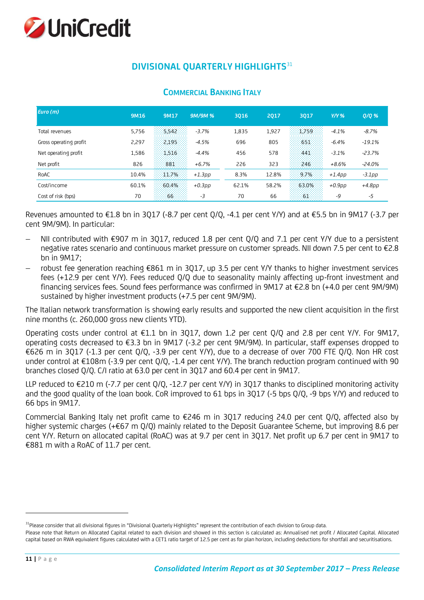

# **DIVISIONAL QUARTERLY HIGHLIGHTS**<sup>31</sup>

| Euro $(m)$             | 9M16  | 9M17     | <b>9M/9M%</b> | 3016  | 2017  | 3017  | $Y/Y$ %   | $Q/Q$ %   |
|------------------------|-------|----------|---------------|-------|-------|-------|-----------|-----------|
| Total revenues         | 5.756 | $-5.542$ | $-3.7%$       | 1,835 | 1,927 | 1.759 | $-4.1%$   | $-8.7%$   |
| Gross operating profit | 2,297 | 2.195    | $-4.5%$       | 696   | 805   | 651   | $-6.4%$   | $-19.1%$  |
| Net operating profit   | 1,586 | 1516     | $-4.4%$       | 456   | 578   | 441   | $-3.1%$   | $-23.7%$  |
| Net profit             | 826   | 881      | $+6.7%$       | 226   | 323   | 246   | $+8.6%$   | $-24.0%$  |
| RoAC                   | 10.4% | 11.7%    | $+1.3pp$      | 8.3%  | 12.8% | 9.7%  | $+1.4$ pp | $-3.1$ pp |
| Cost/income            | 60.1% | 60.4%    | $+0.3$ pp     | 62.1% | 58.2% | 63.0% | $+0.9$ pp | $+4.8pp$  |
| Cost of risk (bps)     | 70    | 66.      | -3            | 70    | 66    | 61.   | -9        | -5        |
|                        |       |          |               |       |       |       |           |           |

### **COMMERCIAL BANKING ITALY**

Revenues amounted to €1.8 bn in 3Q17 (-8.7 per cent Q/Q, -4.1 per cent Y/Y) and at €5.5 bn in 9M17 (-3.7 per cent 9M/9M). In particular:

- NII contributed with  $\epsilon$ 907 m in 3017, reduced 1.8 per cent 0/0 and 7.1 per cent Y/Y due to a persistent negative rates scenario and continuous market pressure on customer spreads. NII down 7.5 per cent to €2.8 bn in 9M17;
- robust fee generation reaching €861 m in 3Q17, up 3.5 per cent Y/Y thanks to higher investment services fees (+12.9 per cent Y/Y). Fees reduced Q/Q due to seasonality mainly affecting up-front investment and financing services fees. Sound fees performance was confirmed in 9M17 at €2.8 bn (+4.0 per cent 9M/9M) sustained by higher investment products (+7.5 per cent 9M/9M).

The Italian network transformation is showing early results and supported the new client acquisition in the first nine months (c. 260,000 gross new clients YTD).

Operating costs under control at €1.1 bn in 3Q17, down 1.2 per cent Q/Q and 2.8 per cent Y/Y. For 9M17, operating costs decreased to €3.3 bn in 9M17 (-3.2 per cent 9M/9M). In particular, staff expenses dropped to €626 m in 3Q17 (-1.3 per cent Q/Q, -3.9 per cent Y/Y), due to a decrease of over 700 FTE Q/Q. Non HR cost under control at €108m (-3.9 per cent Q/Q, -1.4 per cent Y/Y). The branch reduction program continued with 90 branches closed Q/Q. C/I ratio at 63.0 per cent in 3Q17 and 60.4 per cent in 9M17.

LLP reduced to €210 m (-7.7 per cent Q/Q, -12.7 per cent Y/Y) in 3Q17 thanks to disciplined monitoring activity and the good quality of the loan book. CoR improved to 61 bps in 3Q17 (-5 bps Q/Q, -9 bps Y/Y) and reduced to 66 bps in 9M17.

Commercial Banking Italy net profit came to €246 m in 3Q17 reducing 24.0 per cent Q/Q, affected also by higher systemic charges (+€67 m Q/Q) mainly related to the Deposit Guarantee Scheme, but improving 8.6 per cent Y/Y. Return on allocated capital (RoAC) was at 9.7 per cent in 3Q17. Net profit up 6.7 per cent in 9M17 to €881 m with a RoAC of 11.7 per cent.

<sup>&</sup>lt;sup>31</sup>Please consider that all divisional figures in "Divisional Quarterly Highlights" represent the contribution of each division to Group data.

Please note that Return on Allocated Capital related to each division and showed in this section is calculated as: Annualised net profit / Allocated Capital. Allocated capital based on RWA equivalent figures calculated with a CET1 ratio target of 12.5 per cent as for plan horizon, including deductions for shortfall and securitisations.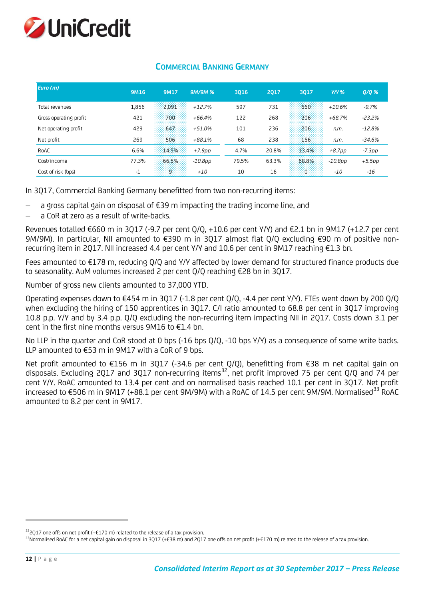

| Euro (m)               | 9M16  | 9M17       | 9M/9M%     | 3016  | 2017  | 3017                 | $Y/Y$ %    | $Q/Q$ %  |
|------------------------|-------|------------|------------|-------|-------|----------------------|------------|----------|
| Total revenues         | 1,856 | 2.091      | $+12.7%$   | 597   | 731   | 660                  | $+10.6%$   | $-9.7%$  |
| Gross operating profit | 421   | 700.       | $+66.4%$   | 122   | 268   | 206                  | $+68.7%$   | $-23.2%$ |
| Net operating profit   | 429   | 647        | $+51.0%$   | 101   | 236   | 206                  | n.m.       | $-12.8%$ |
| Net profit             | 269   | 506        | $+88.1%$   | 68    | 238   | 156                  | n.m.       | $-34.6%$ |
| RoAC                   | 6.6%  | 14.5%      | $+7.9$ pp  | 4.7%  | 20.8% | 13.4%                | $+8.7$ pp  | -7.3pp   |
| Cost/income            | 77.3% | 66.5%      | $-10.8$ pp | 79.5% | 63.3% | 68.8%                | $-10.8$ pp | $+5.5pp$ |
| Cost of risk (bps)     | $-1$  | 9.777<br>. | $+10$      | 10    | 16    | -93<br>Colorado<br>. | $-10$      | -16      |
|                        |       |            |            |       |       |                      |            |          |

### **COMMERCIAL BANKING GERMANY**

In 3Q17, Commercial Banking Germany benefitted from two non-recurring items:

- a gross capital gain on disposal of €39 m impacting the trading income line, and
- a CoR at zero as a result of write-backs.

Revenues totalled €660 m in 3Q17 (-9.7 per cent Q/Q, +10.6 per cent Y/Y) and €2.1 bn in 9M17 (+12.7 per cent 9M/9M). In particular, NII amounted to €390 m in 3Q17 almost flat Q/Q excluding €90 m of positive nonrecurring item in 2Q17. NII increased 4.4 per cent Y/Y and 10.6 per cent in 9M17 reaching €1.3 bn.

Fees amounted to €178 m, reducing Q/Q and Y/Y affected by lower demand for structured finance products due to seasonality. AuM volumes increased 2 per cent Q/Q reaching €28 bn in 3Q17.

Number of gross new clients amounted to 37,000 YTD.

Operating expenses down to €454 m in 3Q17 (-1.8 per cent Q/Q, -4.4 per cent Y/Y). FTEs went down by 200 Q/Q when excluding the hiring of 150 apprentices in 3Q17. C/I ratio amounted to 68.8 per cent in 3Q17 improving 10.8 p.p. Y/Y and by 3.4 p.p. Q/Q excluding the non-recurring item impacting NII in 2Q17. Costs down 3.1 per cent in the first nine months versus 9M16 to €1.4 bn.

No LLP in the quarter and CoR stood at 0 bps (-16 bps Q/Q, -10 bps Y/Y) as a consequence of some write backs. LLP amounted to €53 m in 9M17 with a CoR of 9 bps.

Net profit amounted to €156 m in 3Q17 (-34.6 per cent Q/Q), benefitting from €38 m net capital gain on disposals. Excluding 2Q17 and 3Q17 non-recurring items<sup>32</sup>, net profit improved 75 per cent Q/Q and 74 per cent Y/Y. RoAC amounted to 13.4 per cent and on normalised basis reached 10.1 per cent in 3Q17. Net profit increased to €506 m in 9M17 (+88.1 per cent 9M/9M) with a RoAC of 14.5 per cent 9M/9M. Normalised<sup>33</sup> RoAC amounted to 8.2 per cent in 9M17.

 $32$ 2017 one offs on net profit (+€170 m) related to the release of a tax provision.

 $^{33}$ Normalised RoAC for a net capital gain on disposal in 3Q17 (+€38 m) and 2Q17 one offs on net profit (+€170 m) related to the release of a tax provision.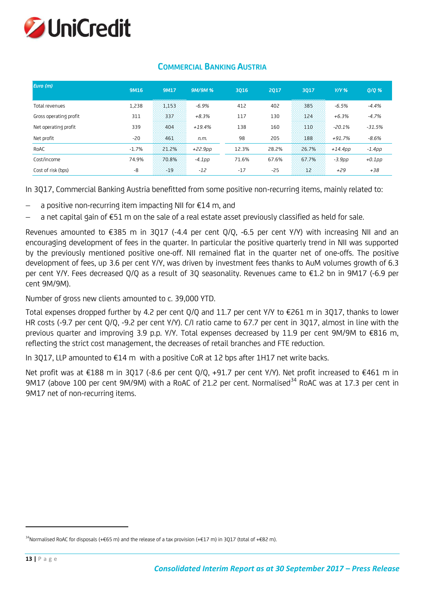

| Euro (m)               | 9M16    | 9M17  | <b>9M/9M%</b> | 3016  | 2017  | 3017  | $Y/Y$ %    | $Q/Q$ %   |
|------------------------|---------|-------|---------------|-------|-------|-------|------------|-----------|
| Total revenues         | 1,238   | 1.153 | $-6.9%$       | 412   | 402   | 385   | $-6.5%$    | $-4.4%$   |
| Gross operating profit | 311     | 337   | $+8.3%$       | 117   | 130   | 124   | $+6.3%$    | $-4.7%$   |
| Net operating profit   | 339     | 404   | $+19.4%$      | 138   | 160   | 410.  | $-20.1%$   | $-31.5%$  |
| Net profit             | $-20$   | 461   | n.m.          | 98    | 205   | 188   | $+91.7%$   | $-8.6%$   |
| RoAC                   | $-1.7%$ | 21.2% | +22.9pp       | 12.3% | 28.2% | 26.7% | $+14.4$ pp | $-1.4pp$  |
| Cost/income            | 74.9%   | 70.8% | -4.1pp        | 71.6% | 67.6% | 67.7% | $-3.9pp$   | $+0.1$ pp |
| Cost of risk (bps)     | -8      | $-19$ | $-12$         | $-17$ | $-25$ | 12    | $+29$      | $+38$     |

### **COMMERCIAL BANKING AUSTRIA**

In 3Q17, Commercial Banking Austria benefitted from some positive non-recurring items, mainly related to:

- a positive non-recurring item impacting NII for €14 m, and
- a net capital gain of €51 m on the sale of a real estate asset previously classified as held for sale.

Revenues amounted to €385 m in 3Q17 (-4.4 per cent Q/Q, -6.5 per cent Y/Y) with increasing NII and an encouraging development of fees in the quarter. In particular the positive quarterly trend in NII was supported by the previously mentioned positive one-off. NII remained flat in the quarter net of one-offs. The positive development of fees, up 3.6 per cent Y/Y, was driven by investment fees thanks to AuM volumes growth of 6.3 per cent Y/Y. Fees decreased Q/Q as a result of 3Q seasonality. Revenues came to €1.2 bn in 9M17 (-6.9 per cent 9M/9M).

Number of gross new clients amounted to c. 39,000 YTD.

Total expenses dropped further by 4.2 per cent Q/Q and 11.7 per cent Y/Y to €261 m in 3Q17, thanks to lower HR costs (-9.7 per cent Q/Q, -9.2 per cent Y/Y). C/I ratio came to 67.7 per cent in 3Q17, almost in line with the previous quarter and improving 3.9 p.p. Y/Y. Total expenses decreased by 11.9 per cent 9M/9M to €816 m, reflecting the strict cost management, the decreases of retail branches and FTE reduction.

In 3Q17, LLP amounted to €14 m with a positive CoR at 12 bps after 1H17 net write backs.

Net profit was at €188 m in 3Q17 (-8.6 per cent Q/Q, +91.7 per cent Y/Y). Net profit increased to €461 m in 9M17 (above 100 per cent 9M/9M) with a RoAC of 21.2 per cent. Normalised<sup>34</sup> RoAC was at 17.3 per cent in 9M17 net of non-recurring items.

<sup>&</sup>lt;sup>34</sup>Normalised RoAC for disposals (+€65 m) and the release of a tax provision (+€17 m) in 3Q17 (total of +€82 m).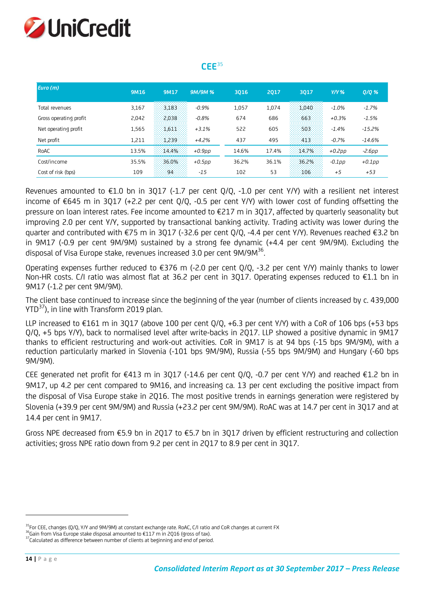

### **CEE**<sup>35</sup>

| Euro $(m)$             | 9M16  | 9M17  | <b>9M/9M%</b> | 3016  | 2017  | 3017  | $Y/Y$ %   | $Q/Q$ %   |
|------------------------|-------|-------|---------------|-------|-------|-------|-----------|-----------|
| Total revenues         | 3,167 | 3.183 | $-0.9%$       | 1,057 | 1.074 | 1.040 | $-1.0%$   | $-1.7%$   |
| Gross operating profit | 2,042 | 2,038 | $-0.8%$       | 674   | 686   | 663   | $+0.3%$   | $-1.5%$   |
| Net operating profit   | 1,565 | 1611  | $+3.1%$       | 522   | 605   | 503   | $-1.4%$   | $-15.2%$  |
| Net profit             | 1,211 | 1.239 | $+4.2%$       | 437   | 495   | 413   | $-0.7%$   | $-14.6%$  |
| RoAC                   | 13.5% | 14:4% | $+0.9$ pp     | 14.6% | 17.4% | 14.7% | $+0.2$ pp | -2.6рр    |
| Cost/income            | 35.5% | 36.0% | $+0.5$ pp     | 36.2% | 36.1% | 36.2% | $-0.1$ pp | $+0.1$ pp |
| Cost of risk (bps)     | 109   | 94.   | $-15$         | 102   | 53    | 106   | $+5$      | $+53$     |
|                        |       |       |               |       |       |       |           |           |

Revenues amounted to  $E1.0$  bn in 3017 (-1.7 per cent  $O/O$ , -1.0 per cent Y/Y) with a resilient net interest income of €645 m in 3Q17 (+2.2 per cent Q/Q, -0.5 per cent Y/Y) with lower cost of funding offsetting the pressure on loan interest rates. Fee income amounted to €217 m in 3Q17, affected by quarterly seasonality but improving 2.0 per cent Y/Y, supported by transactional banking activity. Trading activity was lower during the quarter and contributed with €75 m in 3Q17 (-32.6 per cent Q/Q, -4.4 per cent Y/Y). Revenues reached €3.2 bn in 9M17 (-0.9 per cent 9M/9M) sustained by a strong fee dynamic (+4.4 per cent 9M/9M). Excluding the disposal of Visa Europe stake, revenues increased 3.0 per cent 9M/9M<sup>36</sup>.

Operating expenses further reduced to  $\epsilon$ 376 m (-2.0 per cent Q/Q, -3.2 per cent Y/Y) mainly thanks to lower Non-HR costs. C/I ratio was almost flat at 36.2 per cent in 3Q17. Operating expenses reduced to €1.1 bn in 9M17 (-1.2 per cent 9M/9M).

The client base continued to increase since the beginning of the year (number of clients increased by c. 439,000 YTD<sup>37</sup>), in line with Transform 2019 plan.

LLP increased to €161 m in 3Q17 (above 100 per cent Q/Q, +6.3 per cent Y/Y) with a CoR of 106 bps (+53 bps Q/Q, +5 bps Y/Y), back to normalised level after write-backs in 2Q17. LLP showed a positive dynamic in 9M17 thanks to efficient restructuring and work-out activities. CoR in 9M17 is at 94 bps (-15 bps 9M/9M), with a reduction particularly marked in Slovenia (-101 bps 9M/9M), Russia (-55 bps 9M/9M) and Hungary (-60 bps 9M/9M).

CEE generated net profit for €413 m in 3Q17 (-14.6 per cent Q/Q, -0.7 per cent Y/Y) and reached €1.2 bn in 9M17, up 4.2 per cent compared to 9M16, and increasing ca. 13 per cent excluding the positive impact from the disposal of Visa Europe stake in 2Q16. The most positive trends in earnings generation were registered by Slovenia (+39.9 per cent 9M/9M) and Russia (+23.2 per cent 9M/9M). RoAC was at 14.7 per cent in 3Q17 and at 14.4 per cent in 9M17.

Gross NPE decreased from €5.9 bn in 2Q17 to €5.7 bn in 3Q17 driven by efficient restructuring and collection activities; gross NPE ratio down from 9.2 per cent in 2Q17 to 8.9 per cent in 3Q17.

<sup>&</sup>lt;sup>35</sup>For CEE, changes (Q/Q, Y/Y and 9M/9M) at constant exchange rate. RoAC, C/I ratio and CoR changes at current FX

 $36$ Gain from Visa Europe stake disposal amounted to  $E117$  m in 2Q16 (gross of tax).

<sup>37</sup>Calculated as difference between number of clients at beginning and end of period.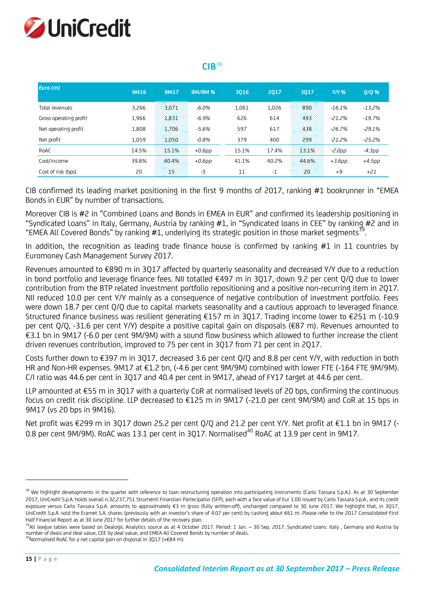

### $CIR<sup>38</sup>$

| 9M16  | 9M17                                      | <b>9M/9M%</b>                                | 3016                                       | <b>2017</b>                | 3017                                | $Y/Y$ %                           | 0/0%                                         |
|-------|-------------------------------------------|----------------------------------------------|--------------------------------------------|----------------------------|-------------------------------------|-----------------------------------|----------------------------------------------|
|       |                                           |                                              |                                            |                            |                                     |                                   | $-13.2%$                                     |
|       |                                           |                                              |                                            |                            |                                     |                                   | $-19.7%$                                     |
|       |                                           |                                              |                                            |                            |                                     |                                   |                                              |
|       |                                           |                                              |                                            |                            |                                     |                                   | $-29.1%$                                     |
|       |                                           |                                              |                                            |                            |                                     |                                   | $-25.2%$                                     |
|       |                                           | $+0.6$ pp                                    | 15.1%                                      |                            |                                     | $-2.0pp$                          | -4.3pp                                       |
| 39.8% | 40.4%                                     | $+0.6$ pp                                    | 41.1%                                      | 40.2%                      | 44.6%                               | $+3.6$ pp                         | $+4.5$ pp                                    |
| 20    | 15:<br>.                                  | -5                                           | 11                                         | $-1$                       | :20:<br>.                           | $+9$                              | $+21$                                        |
|       | 3,266<br>1,966<br>1,808<br>1,059<br>14.5% | 3.071<br>1.831<br>1.706<br>$-1.050$<br>15.1% | $-6.0\%$<br>$-6.9%$<br>$-5.6\%$<br>$-0.8%$ | 1,061<br>626<br>597<br>379 | 1,026<br>614<br>617<br>400<br>17.4% | 890<br>493<br>438<br>299<br>13.1% | $-16.1%$<br>$-21.2%$<br>$-26.7%$<br>$-21.2%$ |

CIB confirmed its leading market positioning in the first 9 months of 2017, ranking #1 bookrunner in "EMEA Bonds in EUR" by number of transactions.

Moreover CIB is #2 in "Combined Loans and Bonds in EMEA in EUR" and confirmed its leadership positioning in "Syndicated Loans" in Italy, Germany, Austria by ranking #1, in "Syndicated loans in CEE" by ranking #2 and in "EMEA All Covered Bonds" by ranking  $#1$ , underlying its strategic position in those market segments<sup>39</sup>.

In addition, the recognition as leading trade finance house is confirmed by ranking #1 in 11 countries by Euromoney Cash Management Survey 2017.

Revenues amounted to €890 m in 3Q17 affected by quarterly seasonality and decreased Y/Y due to a reduction in bond portfolio and leverage finance fees. NII totalled €497 m in 3Q17, down 9.2 per cent Q/Q due to lower contribution from the BTP related investment portfolio repositioning and a positive non-recurring item in 2Q17. NII reduced 10.0 per cent Y/Y mainly as a consequence of negative contribution of investment portfolio. Fees were down 18.7 per cent Q/Q due to capital markets seasonality and a cautious approach to leveraged finance. Structured finance business was resilient generating €157 m in 3Q17. Trading income lower to €251 m (-10.9 per cent Q/Q, -31.6 per cent Y/Y) despite a positive capital gain on disposals (€87 m). Revenues amounted to €3.1 bn in 9M17 (-6.0 per cent 9M/9M) with a sound flow business which allowed to further increase the client driven revenues contribution, improved to 75 per cent in 3Q17 from 71 per cent in 2Q17.

Costs further down to €397 m in 3Q17, decreased 3.6 per cent Q/Q and 8.8 per cent Y/Y, with reduction in both HR and Non-HR expenses. 9M17 at €1.2 bn, (-4.6 per cent 9M/9M) combined with lower FTE (-164 FTE 9M/9M). C/I ratio was 44.6 per cent in 3Q17 and 40.4 per cent in 9M17, ahead of FY17 target at 44.6 per cent.

LLP amounted at €55 m in 3Q17 with a quarterly CoR at normalised levels of 20 bps, confirming the continuous focus on credit risk discipline. LLP decreased to €125 m in 9M17 (-21.0 per cent 9M/9M) and CoR at 15 bps in 9M17 (vs 20 bps in 9M16).

Net profit was €299 m in 3Q17 down 25.2 per cent Q/Q and 21.2 per cent Y/Y. Net profit at €1.1 bn in 9M17 (-0.8 per cent 9M/9M). RoAC was 13.1 per cent in 3017. Normalised<sup>40</sup> RoAC at 13.9 per cent in 9M17.

1

<sup>&</sup>lt;sup>38</sup> We highlight developments in the quarter with reference to loan restructuring operation into participating instruments (Carlo Tassara S.p.A.). As at 30 September 2017, UniCredit S.p.A. holds overall n.32,237,751 Strumenti Finanziari Partecipativi (SFP), each with a face value of Eur 1.00 issued by Carlo Tassara S.p.A., and its credit exposure versus Carlo Tassara S.p.A. amounts to approximately €3 m gross (fully written-off), unchanged compared to 30 June 2017. We highlight that, in 3017, UniCredit S.p.A. sold the Eramet S.A. shares (previously with an investor's share of 4.07 per cent) by cashing about €61 m. Please refer to the 2017 Consolidated First Half Financial Report as at 30 June 2017 for further details of the recovery plan.

<sup>&</sup>lt;sup>39</sup>All league tables were based on Dealogic Analytics source as at 4 October 2017. Period: 1 Jan. – 30 Sep. 2017. Syndicated Loans: Italy, Germany and Austria by number of deals and deal value, CEE by deal value; and EMEA All Covered Bonds by number of deals.

 $^{40}$ Normalised RoAC for a net capital gain on disposal in 3Q17 (+€84 m).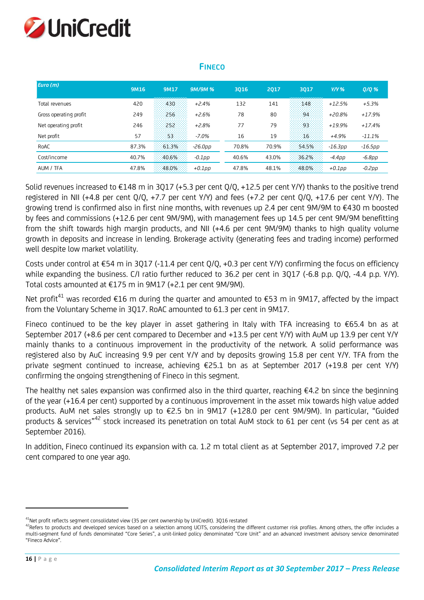

### **FINECO**

| Euro(m)                | 9M16  | 9M17   | <b>9M/9M%</b> | 3016  | 2017  | 3017  | $Y/Y$ %    | $Q/Q$ %   |
|------------------------|-------|--------|---------------|-------|-------|-------|------------|-----------|
| Total revenues         | 420   | $-430$ | $+2.4%$       | 132   | 141   | 148   | $+12.5%$   | $+5.3%$   |
| Gross operating profit | 249   | 256    | $+2.6%$       | 78    | 80    | 94    | $+20.8%$   | $+17.9%$  |
| Net operating profit   | 246   | $-252$ | $+2.8%$       | 77    | 79    | $-93$ | $+19.9%$   | $+17.4%$  |
| Net profit             | 57    | 53     | $-7.0\%$      | 16    | 19    | 16.   | $+4.9%$    | $-11.1%$  |
| RoAC                   | 87.3% | 61.3%  | $-26.0$ pp    | 70.8% | 70.9% | 54.5% | $-16.3$ pp | $-16.5pp$ |
| Cost/income            | 40.7% | 40.6%  | $-0.1$ pp     | 40.6% | 43.0% | 36.2% | $-4.4pp$   | $-6.8pp$  |
| AUM / TFA              | 47.8% | 48.0%  | $+0.1$ DD     | 47.8% | 48.1% | 48.0% | $+0.1$ pp  | $-0.2pp$  |

Solid revenues increased to €148 m in 3Q17 (+5.3 per cent Q/Q, +12.5 per cent Y/Y) thanks to the positive trend registered in NII (+4.8 per cent Q/Q, +7.7 per cent Y/Y) and fees (+7.2 per cent Q/Q, +17.6 per cent Y/Y). The growing trend is confirmed also in first nine months, with revenues up 2.4 per cent 9M/9M to €430 m boosted by fees and commissions (+12.6 per cent 9M/9M), with management fees up 14.5 per cent 9M/9M benefitting from the shift towards high margin products, and NII (+4.6 per cent 9M/9M) thanks to high quality volume growth in deposits and increase in lending. Brokerage activity (generating fees and trading income) performed well despite low market volatility.

Costs under control at €54 m in 3Q17 (-11.4 per cent Q/Q, +0.3 per cent Y/Y) confirming the focus on efficiency while expanding the business. C/I ratio further reduced to 36.2 per cent in 3Q17 (-6.8 p.p. Q/Q, -4.4 p.p. Y/Y). Total costs amounted at €175 m in 9M17 (+2.1 per cent 9M/9M).

Net profit<sup>41</sup> was recorded €16 m during the quarter and amounted to €53 m in 9M17, affected by the impact from the Voluntary Scheme in 3Q17. RoAC amounted to 61.3 per cent in 9M17.

Fineco continued to be the key player in asset gathering in Italy with TFA increasing to €65.4 bn as at September 2017 (+8.6 per cent compared to December and +13.5 per cent Y/Y) with AuM up 13.9 per cent Y/Y mainly thanks to a continuous improvement in the productivity of the network. A solid performance was registered also by AuC increasing 9.9 per cent Y/Y and by deposits growing 15.8 per cent Y/Y. TFA from the private segment continued to increase, achieving €25.1 bn as at September 2017 (+19.8 per cent Y/Y) confirming the ongoing strengthening of Fineco in this segment.

The healthy net sales expansion was confirmed also in the third quarter, reaching €4.2 bn since the beginning of the year (+16.4 per cent) supported by a continuous improvement in the asset mix towards high value added products. AuM net sales strongly up to €2.5 bn in 9M17 (+128.0 per cent 9M/9M). In particular, "Guided products & services"<sup>42</sup> stock increased its penetration on total AuM stock to 61 per cent (vs 54 per cent as at September 2016).

In addition, Fineco continued its expansion with ca. 1.2 m total client as at September 2017, improved 7.2 per cent compared to one year ago.

<sup>&</sup>lt;sup>41</sup>Net profit reflects segment consolidated view (35 per cent ownership by UniCredit). 3Q16 restated

<sup>42</sup>Refers to products and developed services based on a selection among UCITS, considering the different customer risk profiles. Among others, the offer includes a multi-segment fund of funds denominated "Core Series", a unit-linked policy denominated "Core Unit" and an advanced investment advisory service denominated "Fineco Advice".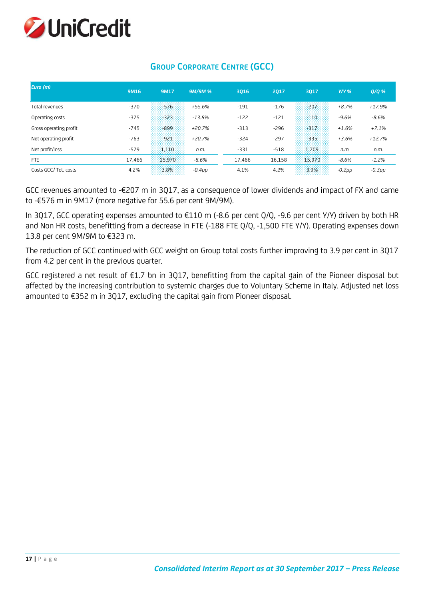

| Euro (m)               | 9M16   | 9M17   | 9M/9M %   | 3016   | 2017   | 3017   | $Y/Y$ %  | $Q/Q$ %  |
|------------------------|--------|--------|-----------|--------|--------|--------|----------|----------|
| Total revenues         | $-370$ | $-576$ | $+55.6%$  | $-191$ | $-176$ | $-207$ | $+8.7%$  | $+17.9%$ |
| Operating costs        | $-375$ | $-323$ | $-13.8%$  | $-122$ | $-121$ | -110   | $-9.6%$  | $-8.6%$  |
| Gross operating profit | $-745$ | $-899$ | $+20.7%$  | $-313$ | $-296$ | $-317$ | $+1.6%$  | $+7.1%$  |
| Net operating profit   | $-763$ | $-921$ | $+20.7%$  | $-324$ | $-297$ | $-335$ | $+3.6%$  | $+12.7%$ |
| Net profit/loss        | $-579$ | 1.110  | n.m.      | $-331$ | $-518$ | 1.709  | n.m.     | n.m.     |
| <b>FTE</b>             | 17.466 | 15.970 | $-8.6%$   | 17.466 | 16,158 | 15.970 | $-8.6%$  | $-1.2%$  |
| Costs GCC/Tot. costs   | 4.2%   | 3.8%   | $-0.4$ pp | 4.1%   | 4.2%   | 3.9%   | $-0.2pp$ | $-0.3pp$ |

# **GROUP CORPORATE CENTRE (GCC)**

GCC revenues amounted to -€207 m in 3Q17, as a consequence of lower dividends and impact of FX and came to -€576 m in 9M17 (more negative for 55.6 per cent 9M/9M).

In 3Q17, GCC operating expenses amounted to €110 m (-8.6 per cent Q/Q, -9.6 per cent Y/Y) driven by both HR and Non HR costs, benefitting from a decrease in FTE (-188 FTE Q/Q, -1,500 FTE Y/Y). Operating expenses down 13.8 per cent 9M/9M to €323 m.

The reduction of GCC continued with GCC weight on Group total costs further improving to 3.9 per cent in 3Q17 from 4.2 per cent in the previous quarter.

GCC registered a net result of €1.7 bn in 3Q17, benefitting from the capital gain of the Pioneer disposal but affected by the increasing contribution to systemic charges due to Voluntary Scheme in Italy. Adjusted net loss amounted to €352 m in 3Q17, excluding the capital gain from Pioneer disposal.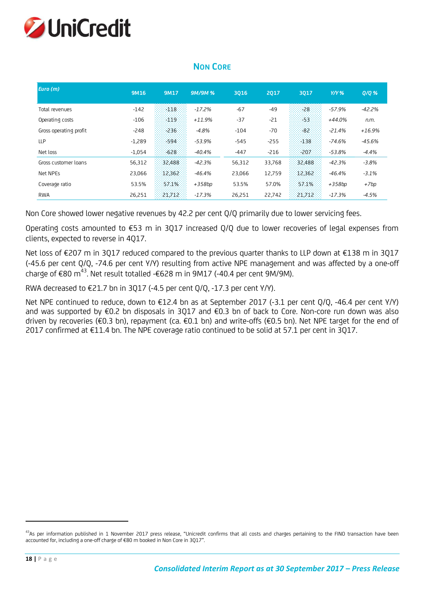

| Euro (m)               | 9M16     | 9M17   | <b>9M/9M%</b> | 3016   | 2017   | 3017   | $Y/Y$ %  | 0/0%     |
|------------------------|----------|--------|---------------|--------|--------|--------|----------|----------|
| Total revenues         | $-142$   | $-118$ | $-17.2%$      | $-67$  | $-49$  | $-28$  | -57.9%   | $-42.2%$ |
| Operating costs        | $-106$   | -119   | $+11.9%$      | $-37$  | $-21$  | -53.   | +44.0%   | n.m.     |
| Gross operating profit | $-248$   | $-236$ | $-4.8%$       | $-104$ | $-70$  | $-82$  | $-21.4%$ | $+16.9%$ |
| <b>LLP</b>             | $-1,289$ | $-594$ | $-53.9%$      | $-545$ | $-255$ | $-138$ | -74.6%   | $-45.6%$ |
| Net loss               | $-1,054$ | $-628$ | $-40.4%$      | $-447$ | $-216$ | $-207$ | $-53.8%$ | $-4.4%$  |
| Gross customer loans   | 56,312   | 32,488 | $-42.3%$      | 56,312 | 33,768 | 32,488 | -42.3%   | $-3.8%$  |
| Net NPEs               | 23,066   | 12,362 | $-46.4%$      | 23,066 | 12,759 | 12,362 | $-46.4%$ | $-3.1%$  |
| Coverage ratio         | 53.5%    | 57.1%  | +358bp        | 53.5%  | 57.0%  | 57.1%  | +358bp   | +7bp     |
| <b>RWA</b>             | 26,251   | 21,712 | $-17.3%$      | 26,251 | 22,742 | 21,712 | $-17.3%$ | $-4.5%$  |

### **NON CORE**

Non Core showed lower negative revenues by 42.2 per cent Q/Q primarily due to lower servicing fees.

Operating costs amounted to €53 m in 3Q17 increased Q/Q due to lower recoveries of legal expenses from clients, expected to reverse in 4Q17.

Net loss of €207 m in 3Q17 reduced compared to the previous quarter thanks to LLP down at €138 m in 3Q17 (-45.6 per cent Q/Q, -74.6 per cent Y/Y) resulting from active NPE management and was affected by a one-off charge of €80 m<sup>43</sup>. Net result totalled -€628 m in 9M17 (-40.4 per cent 9M/9M).

RWA decreased to  $E$ 21.7 bn in 3Q17 (-4.5 per cent Q/Q, -17.3 per cent Y/Y).

Net NPE continued to reduce, down to €12.4 bn as at September 2017 (-3.1 per cent Q/Q, -46.4 per cent Y/Y) and was supported by €0.2 bn disposals in 3Q17 and €0.3 bn of back to Core. Non-core run down was also driven by recoveries (€0.3 bn), repayment (ca. €0.1 bn) and write-offs (€0.5 bn). Net NPE target for the end of 2017 confirmed at €11.4 bn. The NPE coverage ratio continued to be solid at 57.1 per cent in 3Q17.

<sup>&</sup>lt;sup>43</sup>As per information published in 1 November 2017 press release, "Unicredit confirms that all costs and charges pertaining to the FINO transaction have been accounted for, including a one-off charge of €80 m booked in Non Core in 3Q17".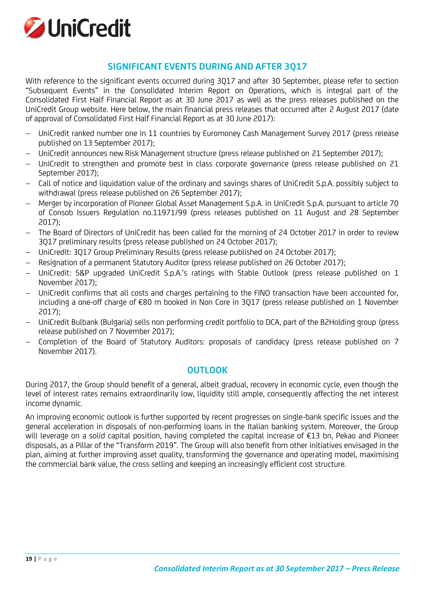

# **SIGNIFICANT EVENTS DURING AND AFTER 3Q17**

With reference to the significant events occurred during 3Q17 and after 30 September, please refer to section "Subsequent Events" in the Consolidated Interim Report on Operations, which is integral part of the Consolidated First Half Financial Report as at 30 June 2017 as well as the press releases published on the UniCredit Group website. Here below, the main financial press releases that occurred after 2 August 2017 (date of approval of Consolidated First Half Financial Report as at 30 June 2017):

- UniCredit ranked number one in 11 countries by Euromoney Cash Management Survey 2017 (press release published on 13 September 2017);
- UniCredit announces new Risk Management structure (press release published on 21 September 2017);
- UniCredit to strengthen and promote best in class corporate governance (press release published on 21 September 2017);
- Call of notice and liquidation value of the ordinary and savings shares of UniCredit S.p.A. possibly subject to withdrawal (press release published on 26 September 2017);
- Merger by incorporation of Pioneer Global Asset Management S.p.A. in UniCredit S.p.A. pursuant to article 70 of Consob Issuers Regulation no.11971/99 (press releases published on 11 August and 28 September 2017);
- The Board of Directors of UniCredit has been called for the morning of 24 October 2017 in order to review 3Q17 preliminary results (press release published on 24 October 2017);
- UniCredit: 3Q17 Group Preliminary Results (press release published on 24 October 2017);
- Resignation of a permanent Statutory Auditor (press release published on 26 October 2017);
- UniCredit: S&P upgraded UniCredit S.p.A.'s ratings with Stable Outlook (press release published on 1 November 2017);
- UniCredit confirms that all costs and charges pertaining to the FINO transaction have been accounted for, including a one-off charge of €80 m booked in Non Core in 3Q17 (press release published on 1 November 2017);
- UniCredit Bulbank (Bulgaria) sells non performing credit portfolio to DCA, part of the B2Holding group (press release published on 7 November 2017);
- Completion of the Board of Statutory Auditors: proposals of candidacy (press release published on 7 November 2017).

### **OUTLOOK**

During 2017, the Group should benefit of a general, albeit gradual, recovery in economic cycle, even though the level of interest rates remains extraordinarily low, liquidity still ample, consequently affecting the net interest income dynamic.

An improving economic outlook is further supported by recent progresses on single-bank specific issues and the general acceleration in disposals of non-performing loans in the Italian banking system. Moreover, the Group will leverage on a solid capital position, having completed the capital increase of €13 bn, Pekao and Pioneer disposals, as a Pillar of the "Transform 2019". The Group will also benefit from other initiatives envisaged in the plan, aiming at further improving asset quality, transforming the governance and operating model, maximising the commercial bank value, the cross selling and keeping an increasingly efficient cost structure.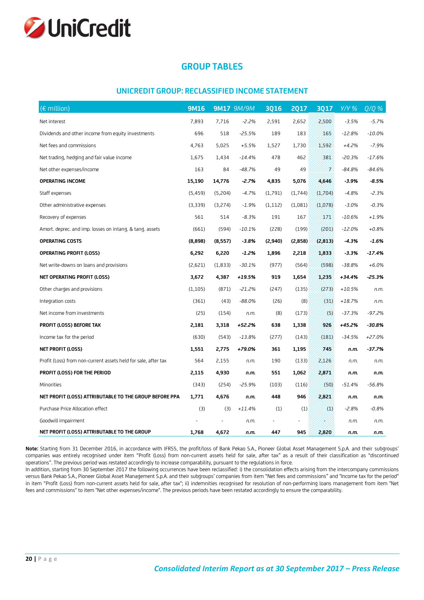

# **GROUP TABLES**

#### **UNICREDIT GROUP: RECLASSIFIED INCOME STATEMENT**

| $\overline{(\epsilon)}$ million)                               | <b>9M16</b> |          | <b>9M17 9M/9M</b> | <b>3Q16</b> | <b>2Q17</b> | <b>3Q17</b> | $Y/Y$ %  | $Q/Q$ %  |
|----------------------------------------------------------------|-------------|----------|-------------------|-------------|-------------|-------------|----------|----------|
| Net interest                                                   | 7,893       | 7,716    | $-2.2%$           | 2,591       | 2,652       | 2,500       | $-3.5%$  | $-5.7%$  |
| Dividends and other income from equity investments             | 696         | 518      | $-25.5%$          | 189         | 183         | 165         | $-12.8%$ | $-10.0%$ |
| Net fees and commissions                                       | 4,763       | 5,025    | $+5.5%$           | 1,527       | 1,730       | 1,592       | $+4.2%$  | $-7.9%$  |
| Net trading, hedging and fair value income                     | 1,675       | 1,434    | $-14.4%$          | 478         | 462         | 381         | $-20.3%$ | $-17.6%$ |
| Net other expenses/income                                      | 163         | 84       | $-48.7%$          | 49          | 49          | 7.          | $-84.8%$ | $-84.6%$ |
| <b>OPERATING INCOME</b>                                        | 15,190      | 14,776   | $-2.7%$           | 4,835       | 5,076       | 4,646       | $-3.9%$  | $-8.5%$  |
| Staff expenses                                                 | (5, 459)    | (5,204)  | $-4.7%$           | (1,791)     | (1,744)     | (1,704)     | $-4.8%$  | $-2.3%$  |
| Other administrative expenses                                  | (3,339)     | (3,274)  | $-1.9%$           | (1, 112)    | (1,081)     | (1,078)     | $-3.0%$  | $-0.3%$  |
| Recovery of expenses                                           | 561         | 514      | $-8.3%$           | 191         | 167         | 171         | $-10.6%$ | $+1.9%$  |
| Amort. deprec. and imp. losses on intang. & tang. assets       | (661)       | (594)    | $-10.1%$          | (228)       | (199)       | (201)       | $-12.0%$ | $+0.8%$  |
| <b>OPERATING COSTS</b>                                         | (8,898)     | (8,557)  | $-3.8%$           | (2,940)     | (2,858)     | (2, 813)    | $-4.3%$  | $-1.6%$  |
| <b>OPERATING PROFIT (LOSS)</b>                                 | 6,292       | 6,220    | $-1.2%$           | 1,896       | 2,218       | 1,833       | $-3.3%$  | $-17.4%$ |
| Net write-downs on loans and provisions                        | (2,621)     | (1, 833) | $-30.1%$          | (977)       | (564)       | (598)       | $-38.8%$ | $+6.0%$  |
| NET OPERATING PROFIT (LOSS)                                    | 3,672       | 4,387    | +19.5%            | 919         | 1,654       | 1,235       | $+34.4%$ | $-25.3%$ |
| Other charges and provisions                                   | (1, 105)    | (871)    | $-21.2%$          | (247)       | (135)       | (273)       | $+10.5%$ | n.m.     |
| Integration costs                                              | (361)       | (43)     | $-88.0%$          | (26)        | (8)         | (31)        | $+18.7%$ | n.m.     |
| Net income from investments                                    | (25)        | (154)    | n.m.              | (8)         | (173)       | (5)         | $-37.3%$ | $-97.2%$ |
| PROFIT (LOSS) BEFORE TAX                                       | 2,181       | 3,318    | +52.2%            | 638         | 1,338       | 926         | +45.2%   | $-30.8%$ |
| Income tax for the period                                      | (630)       | (543)    | $-13.8%$          | (277)       | (143)       | (181)       | $-34.5%$ | $+27.0%$ |
| NET PROFIT (LOSS)                                              | 1,551       | 2,775    | +79.0%            | 361         | 1,195       | 745         | n.m.     | $-37.7%$ |
| Profit (Loss) from non-current assets held for sale, after tax | 564         | 2,155    | n.m.              | 190         | (133)       | 2,126       | n.m.     | n.m.     |
| PROFIT (LOSS) FOR THE PERIOD                                   | 2,115       | 4,930    | n.m.              | 551         | 1,062       | 2,871       | n.m.     | n.m.     |
| Minorities                                                     | (343)       | (254)    | $-25.9%$          | (103)       | (116)       | (50)        | $-51.4%$ | $-56.8%$ |
| NET PROFIT (LOSS) ATTRIBUTABLE TO THE GROUP BEFORE PPA         | 1,771       | 4,676    | n.m.              | 448         | 946         | 2,821       | n.m.     | n.m.     |
| Purchase Price Allocation effect                               | (3)         | (3)      | $+11.4%$          | (1)         | (1)         | (1)         | $-2.8%$  | $-0.8%$  |
| Goodwill impairment                                            |             |          | n.m.              |             |             |             | n.m.     | n.m.     |
| NET PROFIT (LOSS) ATTRIBUTABLE TO THE GROUP                    | 1,768       | 4,672    | n.m.              | 447         | 945         | 2,820       | n.m.     | n.m.     |

**Note:** Starting from 31 December 2016, in accordance with IFRS5, the profit/loss of Bank Pekao S.A., Pioneer Global Asset Management S.p.A. and their subgroups' companies was entirely recognised under item "Profit (Loss) from non-current assets held for sale, after tax" as a result of their classification as "discontinued operations". The previous period was restated accordingly to increase comparability, pursuant to the regulations in force.

In addition, starting from 30 September 2017 the following occurrences have been reclassified: i) the consolidation effects arising from the intercompany commissions versus Bank Pekao S.A., Pioneer Global Asset Management S.p.A. and their subgroups' companies from item "Net fees and commissions" and "Income tax for the period" in item "Profit (Loss) from non-current assets held for sale, after tax"; ii) indemnities recognised for resolution of non-performing loans management from item "Net fees and commissions" to item "Net other expenses/income". The previous periods have been restated accordingly to ensure the comparability.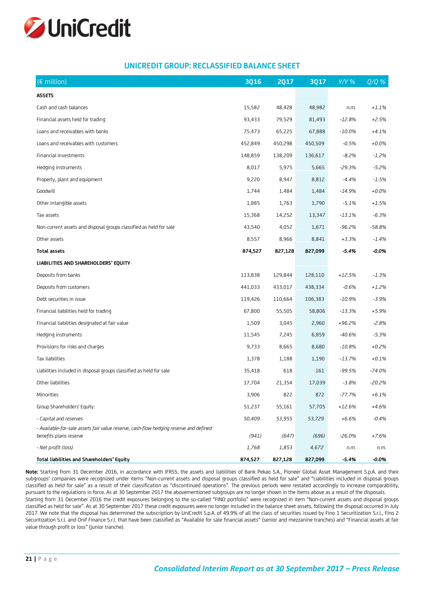

#### **UNICREDIT GROUP: RECLASSIFIED BALANCE SHEET**

| $(\epsilon$ million)                                                                                            | <b>3Q16</b> | <b>2Q17</b> | <b>3Q17</b> | $Y/Y$ %   | $Q/Q$ %  |
|-----------------------------------------------------------------------------------------------------------------|-------------|-------------|-------------|-----------|----------|
| <b>ASSETS</b>                                                                                                   |             |             |             |           |          |
| Cash and cash balances                                                                                          | 15,582      | 48,428      | 48,982      | n.m.      | $+1.1%$  |
| Financial assets held for trading                                                                               | 93,433      | 79,529      | 81,493      | $-12.8%$  | $+2.5%$  |
| Loans and receivables with banks                                                                                | 75,473      | 65,225      | 67,888      | $-10.0\%$ | $+4.1%$  |
| Loans and receivables with customers                                                                            | 452,849     | 450,298     | 450,509     | $-0.5%$   | $+0.0%$  |
| Financial investments                                                                                           | 148,859     | 138,209     | 136,617     | $-8.2\%$  | $-1.2%$  |
| Hedging instruments                                                                                             | 8,017       | 5,975       | 5,665       | $-29.3%$  | $-5.2%$  |
| Property, plant and equipment                                                                                   | 9,220       | 8,947       | 8,812       | $-4.4%$   | $-1.5%$  |
| Goodwill                                                                                                        | 1,744       | 1,484       | 1,484       | -14.9%    | $+0.0%$  |
| Other intangible assets                                                                                         | 1,885       | 1,763       | 1,790       | $-5.1%$   | $+1.5%$  |
| Tax assets                                                                                                      | 15,368      | 14,252      | 13,347      | $-13.1%$  | $-6.3%$  |
| Non-current assets and disposal groups classified as held for sale                                              | 43,540      | 4,052       | 1,671       | -96.2%    | $-58.8%$ |
| Other assets                                                                                                    | 8,557       | 8,966       | 8,841       | $+3.3%$   | $-1.4%$  |
| <b>Total assets</b>                                                                                             | 874,527     | 827,128     | 827,099     | $-5.4%$   | $-0.0\%$ |
| LIABILITIES AND SHAREHOLDERS' EQUITY                                                                            |             |             |             |           |          |
| Deposits from banks                                                                                             | 113,838     | 129,844     | 128,110     | $+12.5%$  | $-1.3%$  |
| Deposits from customers                                                                                         | 441,033     | 433,017     | 438,334     | $-0.6%$   | $+1.2%$  |
| Debt securities in issue                                                                                        | 119,426     | 110,664     | 106,383     | $-10.9%$  | $-3.9%$  |
| Financial liabilities held for trading                                                                          | 67,800      | 55,505      | 58,806      | $-13.3%$  | $+5.9%$  |
| Financial liabilities designated at fair value                                                                  | 1,509       | 3,045       | 2,960       | +96.2%    | $-2.8%$  |
| Hedging instruments                                                                                             | 11,545      | 7,245       | 6,859       | -40.6%    | $-5.3%$  |
| Provisions for risks and charges                                                                                | 9,733       | 8,665       | 8,680       | $-10.8%$  | $+0.2%$  |
| Tax liabilities                                                                                                 | 1,378       | 1,188       | 1,190       | $-13.7%$  | $+0.1%$  |
| Liabilities included in disposal groups classified as held for sale                                             | 35,418      | 618         | 161         | $-99.5%$  | $-74.0%$ |
| Other liabilities                                                                                               | 17,704      | 21,354      | 17,039      | $-3.8%$   | -20.2%   |
| Minorities                                                                                                      | 3,906       | 822         | 872         | $-77.7%$  | $+6.1%$  |
| Group Shareholders' Equity:                                                                                     | 51,237      | 55,161      | 57,705      | $+12.6%$  | $+4.6%$  |
| - Capital and reserves                                                                                          | 50,409      | 53,955      | 53,729      | $+6.6%$   | $-0.4%$  |
| - Available-for-sale assets fair value reserve, cash-flow hedging reserve and defined<br>benefits plans reserve | (941)       | (647)       | (696)       | $-26.0%$  | $+7.6%$  |
| - Net profit (loss)                                                                                             | 1,768       | 1,853       | 4,672       | n.m.      | n.m.     |
| Total liabilities and Shareholders' Equity                                                                      | 874,527     | 827,128     | 827,099     | $-5.4%$   | $-0.0\%$ |

**Note:** Starting from 31 December 2016, in accordance with IFRS5, the assets and liabilities of Bank Pekao S.A., Pioneer Global Asset Management S.p.A. and their subgroups' companies were recognized under items "Non-current assets and disposal groups classified as held for sale" and "Liabilities included in disposal groups classified as held for sale" as a result of their classification as "discontinued operations". The previous periods were restated accordingly to increase comparability, pursuant to the regulations in force. As at 30 September 2017 the abovementioned subgroups are no longer shown in the items above as a result of the disposals. Starting from 31 December 2016 the credit exposures belonging to the so-called "FINO portfolio" were recognized in item "Non-current assets and disposal groups classified as held for sale". As at 30 September 2017 these credit exposures were no longer included in the balance sheet assets, following the disposal occurred in July 2017. We note that the disposal has determined the subscription by UniCredit S.p.A. of 49.9% of all the class of securities issued by Fino 1 Securitization S.r.l., Fino 2 Securitization S.r.l. and Onif Finance S.r.l. that have been classified as "Available for sale financial assets" (senior and mezzanine tranches) and "Financial assets at fair value through profit or loss" (junior tranche).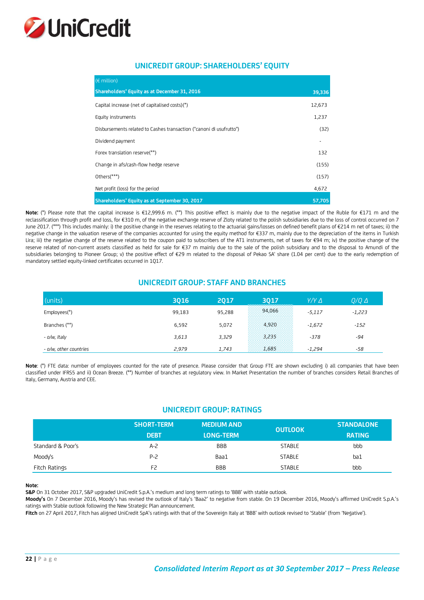

#### **UNICREDIT GROUP: SHAREHOLDERS' EQUITY**

| $(\epsilon$ million)                                                |        |
|---------------------------------------------------------------------|--------|
| Shareholders' Equity as at December 31, 2016                        | 39,336 |
| Capital increase (net of capitalised costs)(*)                      | 12,673 |
| Equity instruments                                                  | 1,237  |
| Disbursements related to Cashes transaction ("canoni di usufrutto") | (32)   |
| Dividend payment                                                    |        |
| Forex translation reserve(**)                                       | 132    |
| Change in afs/cash-flow hedge reserve                               | (155)  |
| Others(***)                                                         | (157)  |
| Net profit (loss) for the period                                    | 4,672  |
| Shareholders' Equity as at September 30, 2017                       | 57,705 |

**Note:** (\*) Please note that the capital increase is €12,999.6 m. (\*\*) This positive effect is mainly due to the negative impact of the Ruble for €171 m and the reclassification through profit and loss, for €310 m, of the negative exchange reserve of Zloty related to the polish subsidiaries due to the loss of control occurred on 7 June 2017. (\*\*\*) This includes mainly: i) the positive change in the reserves relating to the actuarial gains/losses on defined benefit plans of €214 m net of taxes; ii) the negative change in the valuation reserve of the companies accounted for using the equity method for €337 m, mainly due to the depreciation of the items in Turkish Lira; iii) the negative change of the reserve related to the coupon paid to subscribers of the AT1 instruments, net of taxes for €94 m; iv) the positive change of the reserve related of non-current assets classified as held for sale for €37 m mainly due to the sale of the polish subsidiary and to the disposal to Amundi of the subsidiaries belonging to Pioneer Group; v) the positive effect of €29 m related to the disposal of Pekao SA' share (1.04 per cent) due to the early redemption of mandatory settled equity-linked certificates occurred in 1Q17.

#### **UNICREDIT GROUP: STAFF AND BRANCHES**

| (units)                | 3016   | 2017   | 3017<br>,,,,,,,,,,,,,,,,,,,,,,,,,,,,,,,,,                                     | $Y/Y\Delta$ | $0/0 \Delta$ |
|------------------------|--------|--------|-------------------------------------------------------------------------------|-------------|--------------|
| Employees(*)           | 99,183 | 95,288 | 94.066                                                                        | $-5,117$    | $-1,223$     |
| Branches (**)          | 6,592  | 5,072  | .<br>$-4,920$<br>.<br>.                                                       | $-1,672$    | $-152$       |
| - o/w, Italy           | 3,613  | 3,329  | 3,235<br>.<br>2000000<br>a da bailtean an amach<br>.<br>.<br><b>CARD CARD</b> | $-378$      | -94          |
| - o/w, other countries | 2.979  | 1,743  | <b>STATISTICS</b><br>.                                                        | $-1,294$    | -58          |

**Note**: (\*) FTE data: number of employees counted for the rate of presence. Please consider that Group FTE are shown excluding i) all companies that have been classified under IFRS5 and ii) Ocean Breeze. (\*\*) Number of branches at regulatory view. In Market Presentation the number of branches considers Retail Branches of Italy, Germany, Austria and CEE.

### **UNICREDIT GROUP: RATINGS**

| <b>SHORT-TERM</b> |             | <b>MEDIUM AND '</b><br><b>OUTLOOK</b> |               | <b>STANDALONE</b> |  |
|-------------------|-------------|---------------------------------------|---------------|-------------------|--|
|                   | <b>DEBT</b> | <b>LONG-TERM</b>                      |               | <b>RATING</b>     |  |
| Standard & Poor's | $A-2$       | <b>BBB</b>                            | <b>STABLE</b> | bbb               |  |
| Moody's           | $P-2$       | Baa1                                  | <b>STABLE</b> | ba1               |  |
| Fitch Ratings     | F2          | <b>BBB</b>                            | <b>STABLE</b> | bbb               |  |

#### **Note:**

**S&P** On 31 October 2017, S&P upgraded UniCredit S.p.A.'s medium and long term ratings to 'BBB' with stable outlook.

**Moody's** On 7 December 2016, Moody's has revised the outlook of Italy's 'Baa2' to negative from stable. On 19 December 2016, Moody's affirmed UniCredit S.p.A.'s ratings with Stable outlook following the New Strategic Plan announcement.

**Fitch** on 27 April 2017, Fitch has aligned UniCredit SpA's ratings with that of the Sovereign Italy at 'BBB' with outlook revised to 'Stable' (from 'Negative').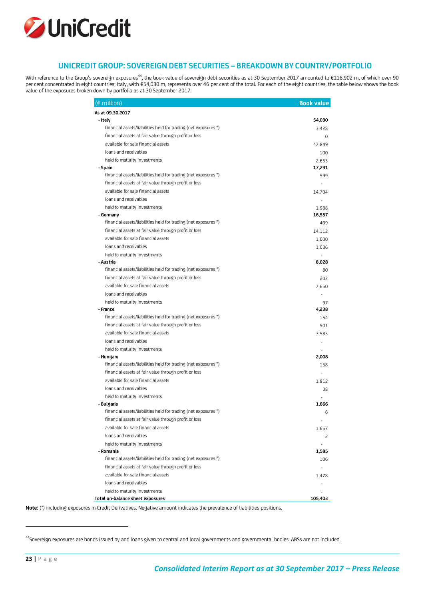

#### **UNICREDIT GROUP: SOVEREIGN DEBT SECURITIES – BREAKDOWN BY COUNTRY/PORTFOLIO**

With reference to the Group's sovereign exposures $^{44}$ , the book value of sovereign debt securities as at 30 September 2017 amounted to €116,902 m, of which over 90 per cent concentrated in eight countries; Italy, with €54,030 m, represents over 46 per cent of the total. For each of the eight countries, the table below shows the book value of the exposures broken down by portfolio as at 30 September 2017.

| (€ million)                                                     | <b>Book value</b> |
|-----------------------------------------------------------------|-------------------|
| As at 09.30.2017                                                |                   |
| - Italy                                                         | 54,030            |
| financial assets/liabilities held for trading (net exposures *) | 3,428             |
| financial assets at fair value through profit or loss           | 0                 |
| available for sale financial assets                             | 47,849            |
| loans and receivables                                           | 100               |
| held to maturity investments                                    | 2.653             |
| - Spain                                                         | 17,291            |
| financial assets/liabilities held for trading (net exposures *) | 599               |
| financial assets at fair value through profit or loss           |                   |
| available for sale financial assets                             | 14,704            |
| loans and receivables                                           |                   |
| held to maturity investments                                    | 1,988             |
| - Germany                                                       | 16,557            |
| financial assets/liabilities held for trading (net exposures *) | 409               |
| financial assets at fair value through profit or loss           | 14,112            |
| available for sale financial assets                             | 1,000             |
| loans and receivables                                           | 1,036             |
| held to maturity investments                                    |                   |
| - Austria                                                       | 8,028             |
| financial assets/liabilities held for trading (net exposures *) | 80                |
| financial assets at fair value through profit or loss           | 202               |
| available for sale financial assets                             | 7,650             |
| loans and receivables                                           |                   |
| held to maturity investments                                    | 97                |
| - France                                                        | 4,238             |
| financial assets/liabilities held for trading (net exposures *) | 154               |
| financial assets at fair value through profit or loss           | 501               |
| available for sale financial assets                             | 3,583             |
| loans and receivables                                           |                   |
| held to maturity investments                                    |                   |
| - Hungary                                                       | 2,008             |
| financial assets/liabilities held for trading (net exposures *) | 158               |
| financial assets at fair value through profit or loss           |                   |
| available for sale financial assets                             | 1.812             |
| loans and receivables                                           | 38                |
| held to maturity investments                                    |                   |
| - Bulgaria                                                      | 1,666             |
| financial assets/liabilities held for trading (net exposures *) | 6                 |
| financial assets at fair value through profit or loss           | ÷.                |
| available for sale financial assets                             | 1,657             |
| loans and receivables                                           | 2                 |
| held to maturity investments                                    |                   |
| - Romania                                                       | 1,585             |
| financial assets/liabilities held for trading (net exposures *) | 106               |
| financial assets at fair value through profit or loss           |                   |
| available for sale financial assets                             | 1,478             |
| loans and receivables                                           |                   |
| held to maturity investments                                    |                   |
| Total on-balance sheet exposures                                | 105,403           |

**Note:** (\*) including exposures in Credit Derivatives. Negative amount indicates the prevalence of liabilities positions.

<sup>&</sup>lt;sup>44</sup>Sovereign exposures are bonds issued by and loans given to central and local governments and governmental bodies. ABSs are not included.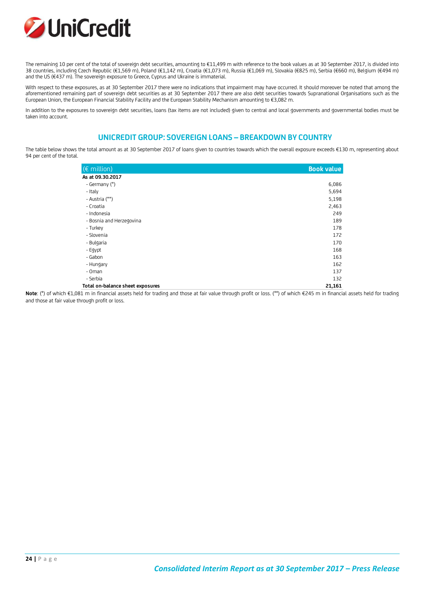

The remaining 10 per cent of the total of sovereign debt securities, amounting to €11,499 m with reference to the book values as at 30 September 2017, is divided into 38 countries, including Czech Republic (€1,569 m), Poland (€1,142 m), Croatia (€1,073 m), Russia (€1,069 m), Slovakia (€825 m), Serbia (€660 m), Belgium (€494 m) and the US (€437 m). The sovereign exposure to Greece, Cyprus and Ukraine is immaterial.

With respect to these exposures, as at 30 September 2017 there were no indications that impairment may have occurred. It should moreover be noted that among the aforementioned remaining part of sovereign debt securities as at 30 September 2017 there are also debt securities towards Supranational Organisations such as the European Union, the European Financial Stability Facility and the European Stability Mechanism amounting to €3,082 m.

In addition to the exposures to sovereign debt securities, loans (tax items are not included) given to central and local governments and governmental bodies must be taken into account.

#### **UNICREDIT GROUP: SOVEREIGN LOANS – BREAKDOWN BY COUNTRY**

The table below shows the total amount as at 30 September 2017 of loans given to countries towards which the overall exposure exceeds €130 m, representing about 94 per cent of the total.

| $(\epsilon$ million)             | <b>Book value</b> |
|----------------------------------|-------------------|
| As at 09.30.2017                 |                   |
| - Germany (*)                    | 6,086             |
| - Italy                          | 5,694             |
| - Austria (**)                   | 5,198             |
| - Croatia                        | 2,463             |
| - Indonesia                      | 249               |
| - Bosnia and Herzegovina         | 189               |
| - Turkey                         | 178               |
| - Slovenia                       | 172               |
| - Bulgaria                       | 170               |
| - Egypt                          | 168               |
| - Gabon                          | 163               |
| - Hungary                        | 162               |
| - Oman                           | 137               |
| - Serbia                         | 132               |
| Total on-balance sheet exposures | 21,161            |

**Note**: (\*) of which €1,081 m in financial assets held for trading and those at fair value through profit or loss. (\*\*) of which €245 m in financial assets held for trading and those at fair value through profit or loss.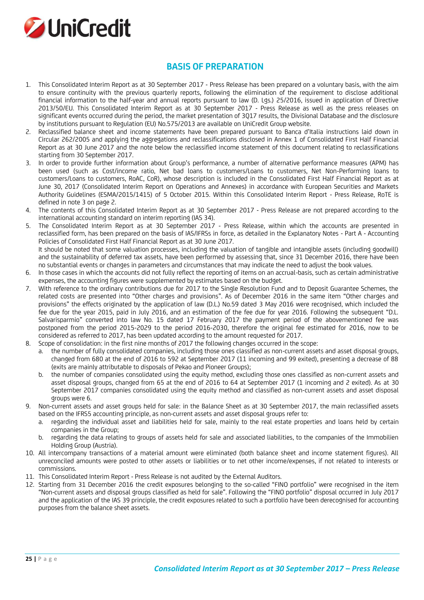

### **BASIS OF PREPARATION**

- 1. This Consolidated Interim Report as at 30 September 2017 Press Release has been prepared on a voluntary basis, with the aim to ensure continuity with the previous quarterly reports, following the elimination of the requirement to disclose additional financial information to the half-year and annual reports pursuant to law (D. Lgs.) 25/2016, issued in application of Directive 2013/50/EU. This Consolidated Interim Report as at 30 September 2017 - Press Release as well as the press releases on significant events occurred during the period, the market presentation of 3Q17 results, the Divisional Database and the disclosure by institutions pursuant to Regulation (EU) No.575/2013 are available on UniCredit Group website.
- 2. Reclassified balance sheet and income statements have been prepared pursuant to Banca d'Italia instructions laid down in Circular 262/2005 and applying the aggregations and reclassifications disclosed in Annex 1 of Consolidated First Half Financial Report as at 30 June 2017 and the note below the reclassified income statement of this document relating to reclassifications starting from 30 September 2017.
- 3. In order to provide further information about Group's performance, a number of alternative performance measures (APM) has been used (such as Cost/income ratio, Net bad loans to customers/Loans to customers, Net Non-Performing loans to customers/Loans to customers, RoAC, CoR), whose description is included in the Consolidated First Half Financial Report as at June 30, 2017 (Consolidated Interim Report on Operations and Annexes) in accordance with European Securities and Markets Authority Guidelines (ESMA/2015/1415) of 5 October 2015. Within this Consolidated Interim Report - Press Release, RoTE is defined in note 3 on page 2.
- 4. The contents of this Consolidated Interim Report as at 30 September 2017 Press Release are not prepared according to the international accounting standard on interim reporting (IAS 34).
- 5. The Consolidated Interim Report as at 30 September 2017 Press Release, within which the accounts are presented in reclassified form, has been prepared on the basis of IAS/IFRSs in force, as detailed in the Explanatory Notes - Part A - Accounting Policies of Consolidated First Half Financial Report as at 30 June 2017.

It should be noted that some valuation processes, including the valuation of tangible and intangible assets (including goodwill) and the sustainability of deferred tax assets, have been performed by assessing that, since 31 December 2016, there have been no substantial events or changes in parameters and circumstances that may indicate the need to adjust the book values.

- 6. In those cases in which the accounts did not fully reflect the reporting of items on an accrual-basis, such as certain administrative expenses, the accounting figures were supplemented by estimates based on the budget.
- 7. With reference to the ordinary contributions due for 2017 to the Single Resolution Fund and to Deposit Guarantee Schemes, the related costs are presented into "Other charges and provisions". As of December 2016 in the same item "Other charges and provisions" the effects originated by the application of law (D.L.) No.59 dated 3 May 2016 were recognised, which included the fee due for the year 2015, paid in July 2016, and an estimation of the fee due for year 2016. Following the subsequent "D.L. Salvarisparmio" converted into law No. 15 dated 17 February 2017 the payment period of the abovementioned fee was postponed from the period 2015-2029 to the period 2016-2030, therefore the original fee estimated for 2016, now to be considered as referred to 2017, has been updated according to the amount requested for 2017.
- 8. Scope of consolidation: in the first nine months of 2017 the following changes occurred in the scope:
	- the number of fully consolidated companies, including those ones classified as non-current assets and asset disposal groups, changed from 680 at the end of 2016 to 592 at September 2017 (11 incoming and 99 exited), presenting a decrease of 88 (exits are mainly attributable to disposals of Pekao and Pioneer Groups);
	- b. the number of companies consolidated using the equity method, excluding those ones classified as non-current assets and asset disposal groups, changed from 65 at the end of 2016 to 64 at September 2017 (1 incoming and 2 exited). As at 30 September 2017 companies consolidated using the equity method and classified as non-current assets and asset disposal groups were 6.
- 9. Non-current assets and asset groups held for sale: in the Balance Sheet as at 30 September 2017, the main reclassified assets based on the IFRS5 accounting principle, as non-current assets and asset disposal groups refer to:
	- a. regarding the individual asset and liabilities held for sale, mainly to the real estate properties and loans held by certain companies in the Group;
	- b. regarding the data relating to groups of assets held for sale and associated liabilities, to the companies of the Immobilien Holding Group (Austria).
- 10. All intercompany transactions of a material amount were eliminated (both balance sheet and income statement figures). All unreconciled amounts were posted to other assets or liabilities or to net other income/expenses, if not related to interests or commissions.
- 11. This Consolidated Interim Report Press Release is not audited by the External Auditors.
- 12. Starting from 31 December 2016 the credit exposures belonging to the so-called "FINO portfolio" were recognised in the item "Non-current assets and disposal groups classified as held for sale". Following the "FINO portfolio" disposal occurred in July 2017 and the application of the IAS 39 principle, the credit exposures related to such a portfolio have been derecognised for accounting purposes from the balance sheet assets.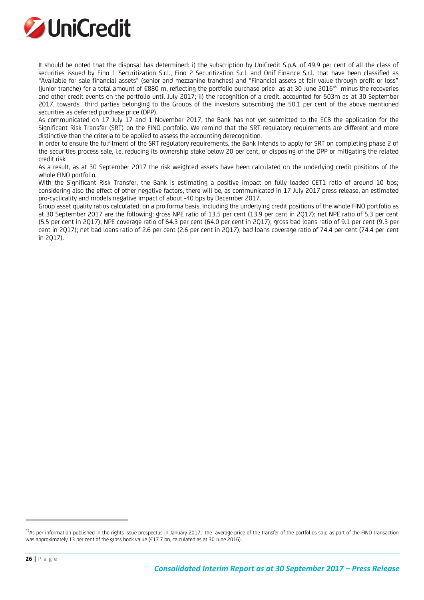

It should be noted that the disposal has determined: i) the subscription by UniCredit S.p.A. of 49.9 per cent of all the class of securities issued by Fino 1 Securitization S.r.l., Fino 2 Securitization S.r.l. and Onif Finance S.r.l. that have been classified as "Available for sale financial assets" (senior and mezzanine tranches) and "Financial assets at fair value through profit or loss" (junior tranche) for a total amount of €880 m, reflecting the portfolio purchase price as at 30 June 2016<sup>45</sup> minus the recoveries and other credit events on the portfolio until July 2017; ii) the recognition of a credit, accounted for 503m as at 30 September 2017, towards third parties belonging to the Groups of the investors subscribing the 50.1 per cent of the above mentioned securities as deferred purchase price (DPP).

As communicated on 17 July 17 and 1 November 2017, the Bank has not yet submitted to the ECB the application for the Significant Risk Transfer (SRT) on the FINO portfolio. We remind that the SRT regulatory requirements are different and more distinctive than the criteria to be applied to assess the accounting derecognition.

In order to ensure the fulfilment of the SRT regulatory requirements, the Bank intends to apply for SRT on completing phase 2 of the securities process sale, i.e. reducing its ownership stake below 20 per cent, or disposing of the DPP or mitigating the related credit risk.

As a result, as at 30 September 2017 the risk weighted assets have been calculated on the underlying credit positions of the whole FINO portfolio.

With the Significant Risk Transfer, the Bank is estimating a positive impact on fully loaded CET1 ratio of around 10 bps; considering also the effect of other negative factors, there will be, as communicated in 17 July 2017 press release, an estimated pro-cyclicality and models negative impact of about -40 bps by December 2017.

Group asset quality ratios calculated, on a pro forma basis, including the underlying credit positions of the whole FINO portfolio as at 30 September 2017 are the following: gross NPE ratio of 13.5 per cent (13.9 per cent in 2Q17); net NPE ratio of 5.3 per cent (5.5 per cent in 2Q17); NPE coverage ratio of 64.3 per cent (64.0 per cent in 2Q17); gross bad loans ratio of 9.1 per cent (9.3 per cent in 2Q17); net bad loans ratio of 2.6 per cent (2.6 per cent in 2Q17); bad loans coverage ratio of 74.4 per cent (74.4 per cent in 2Q17).

 $^{45}$ As per information published in the rights issue prospectus in January 2017, the average price of the transfer of the portfolios sold as part of the FINO transaction was approximately 13 per cent of the gross book value (€17.7 bn, calculated as at 30 June 2016).